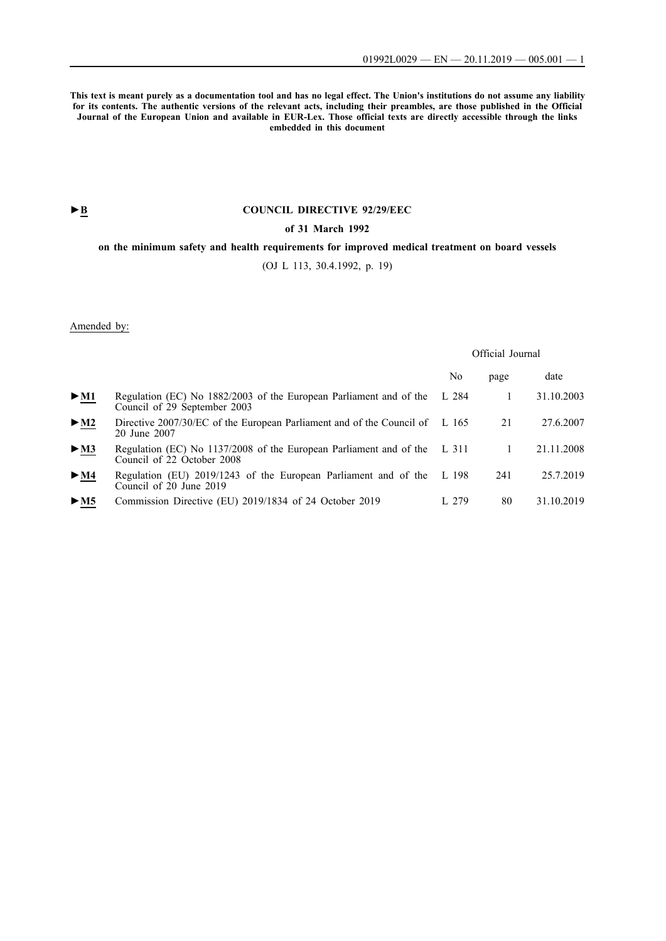**This text is meant purely as a documentation tool and has no legal effect. The Union's institutions do not assume any liability for its contents. The authentic versions of the relevant acts, including their preambles, are those published in the Official Journal of the European Union and available in EUR-Lex. Those official texts are directly accessible through the links embedded in this document**

# **►B [COUNCIL DIRECTIVE 92/29/EEC](http://data.europa.eu/eli/dir/1992/29/oj/eng)**

#### **[of 31 March 1992](http://data.europa.eu/eli/dir/1992/29/oj/eng)**

# **[on the minimum safety and health requirements for improved medical treatment on board vessels](http://data.europa.eu/eli/dir/1992/29/oj/eng)**

[\(OJ L 113, 30.4.1992, p. 19\)](http://data.europa.eu/eli/dir/1992/29/oj/eng)

Amended by:

#### Official Journal

|                            |                                                                                                        | No    | page | date       |
|----------------------------|--------------------------------------------------------------------------------------------------------|-------|------|------------|
| $\triangleright$ M1        | Regulation (EC) No 1882/2003 of the European Parliament and of the<br>Council of 29 September 2003     | L 284 |      | 31.10.2003 |
| $\triangleright$ <u>M2</u> | Directive 2007/30/EC of the European Parliament and of the Council of L 165<br>20 June 2007            |       | 21   | 27.6.2007  |
| > M3                       | Regulation (EC) No 1137/2008 of the European Parliament and of the L 311<br>Council of 22 October 2008 |       |      | 21.11.2008 |
| $\blacktriangleright$ M4   | Regulation (EU) 2019/1243 of the European Parliament and of the<br>Council of 20 June 2019             | L 198 | 241  | 25.7.2019  |
| > M5                       | Commission Directive (EU) 2019/1834 of 24 October 2019                                                 | 1.279 | 80   | 31.10.2019 |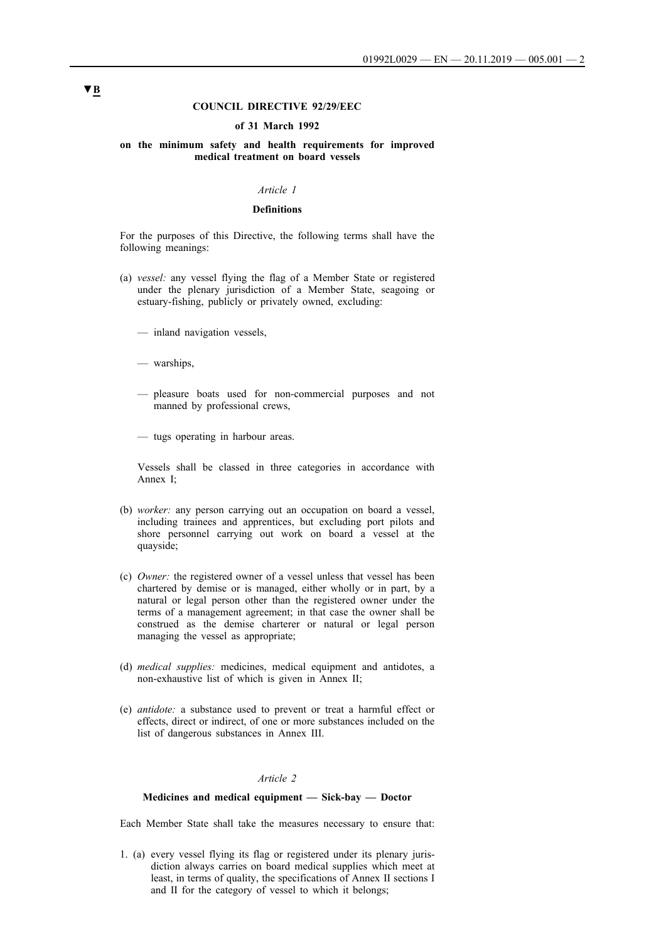#### **COUNCIL DIRECTIVE 92/29/EEC**

#### **of 31 March 1992**

#### **on the minimum safety and health requirements for improved medical treatment on board vessels**

#### *Article 1*

#### **Definitions**

For the purposes of this Directive, the following terms shall have the following meanings:

- (a) *vessel:* any vessel flying the flag of a Member State or registered under the plenary jurisdiction of a Member State, seagoing or estuary-fishing, publicly or privately owned, excluding:
	- inland navigation vessels,
	- warships,
	- pleasure boats used for non-commercial purposes and not manned by professional crews,
	- tugs operating in harbour areas.

Vessels shall be classed in three categories in accordance with Annex I;

- (b) *worker:* any person carrying out an occupation on board a vessel, including trainees and apprentices, but excluding port pilots and shore personnel carrying out work on board a vessel at the quayside;
- (c) *Owner:* the registered owner of a vessel unless that vessel has been chartered by demise or is managed, either wholly or in part, by a natural or legal person other than the registered owner under the terms of a management agreement; in that case the owner shall be construed as the demise charterer or natural or legal person managing the vessel as appropriate;
- (d) *medical supplies:* medicines, medical equipment and antidotes, a non-exhaustive list of which is given in Annex II;
- (e) *antidote:* a substance used to prevent or treat a harmful effect or effects, direct or indirect, of one or more substances included on the list of dangerous substances in Annex III.

#### *Article 2*

#### **Medicines and medical equipment — Sick-bay — Doctor**

Each Member State shall take the measures necessary to ensure that:

1. (a) every vessel flying its flag or registered under its plenary jurisdiction always carries on board medical supplies which meet at least, in terms of quality, the specifications of Annex II sections I and II for the category of vessel to which it belongs;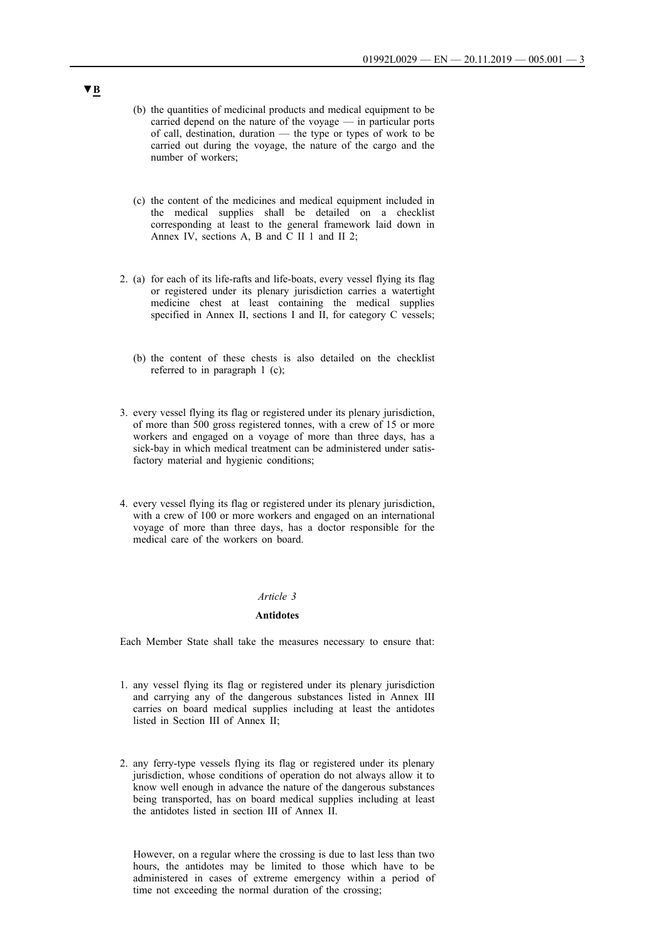- (b) the quantities of medicinal products and medical equipment to be carried depend on the nature of the voyage — in particular ports of call, destination, duration — the type or types of work to be carried out during the voyage, the nature of the cargo and the number of workers;
- (c) the content of the medicines and medical equipment included in the medical supplies shall be detailed on a checklist corresponding at least to the general framework laid down in Annex IV, sections A, B and C II 1 and II 2;
- 2. (a) for each of its life-rafts and life-boats, every vessel flying its flag or registered under its plenary jurisdiction carries a watertight medicine chest at least containing the medical supplies specified in Annex II, sections I and II, for category C vessels;
	- (b) the content of these chests is also detailed on the checklist referred to in paragraph 1 (c);
- 3. every vessel flying its flag or registered under its plenary jurisdiction, of more than 500 gross registered tonnes, with a crew of 15 or more workers and engaged on a voyage of more than three days, has a sick-bay in which medical treatment can be administered under satisfactory material and hygienic conditions;
- 4. every vessel flying its flag or registered under its plenary jurisdiction, with a crew of 100 or more workers and engaged on an international voyage of more than three days, has a doctor responsible for the medical care of the workers on board.

#### *Article 3*

#### **Antidotes**

Each Member State shall take the measures necessary to ensure that:

- 1. any vessel flying its flag or registered under its plenary jurisdiction and carrying any of the dangerous substances listed in Annex III carries on board medical supplies including at least the antidotes listed in Section III of Annex II;
- 2. any ferry-type vessels flying its flag or registered under its plenary jurisdiction, whose conditions of operation do not always allow it to know well enough in advance the nature of the dangerous substances being transported, has on board medical supplies including at least the antidotes listed in section III of Annex II.

However, on a regular where the crossing is due to last less than two hours, the antidotes may be limited to those which have to be administered in cases of extreme emergency within a period of time not exceeding the normal duration of the crossing;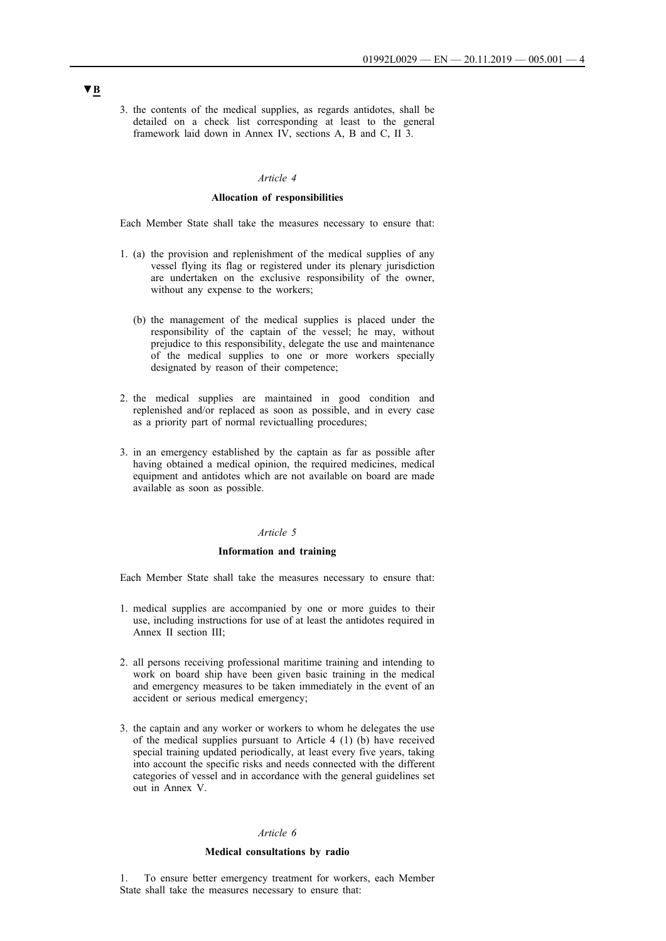3. the contents of the medical supplies, as regards antidotes, shall be detailed on a check list corresponding at least to the general framework laid down in Annex IV, sections A, B and C, II 3.

#### *Article 4*

#### **Allocation of responsibilities**

Each Member State shall take the measures necessary to ensure that:

- 1. (a) the provision and replenishment of the medical supplies of any vessel flying its flag or registered under its plenary jurisdiction are undertaken on the exclusive responsibility of the owner, without any expense to the workers;
	- (b) the management of the medical supplies is placed under the responsibility of the captain of the vessel; he may, without prejudice to this responsibility, delegate the use and maintenance of the medical supplies to one or more workers specially designated by reason of their competence;
- 2. the medical supplies are maintained in good condition and replenished and/or replaced as soon as possible, and in every case as a priority part of normal revictualling procedures;
- 3. in an emergency established by the captain as far as possible after having obtained a medical opinion, the required medicines, medical equipment and antidotes which are not available on board are made available as soon as possible.

#### *Article 5*

#### **Information and training**

Each Member State shall take the measures necessary to ensure that:

- 1. medical supplies are accompanied by one or more guides to their use, including instructions for use of at least the antidotes required in Annex II section III<sup>.</sup>
- 2. all persons receiving professional maritime training and intending to work on board ship have been given basic training in the medical and emergency measures to be taken immediately in the event of an accident or serious medical emergency;
- 3. the captain and any worker or workers to whom he delegates the use of the medical supplies pursuant to Article 4 (1) (b) have received special training updated periodically, at least every five years, taking into account the specific risks and needs connected with the different categories of vessel and in accordance with the general guidelines set out in Annex V.

## *Article 6*

#### **Medical consultations by radio**

1. To ensure better emergency treatment for workers, each Member State shall take the measures necessary to ensure that: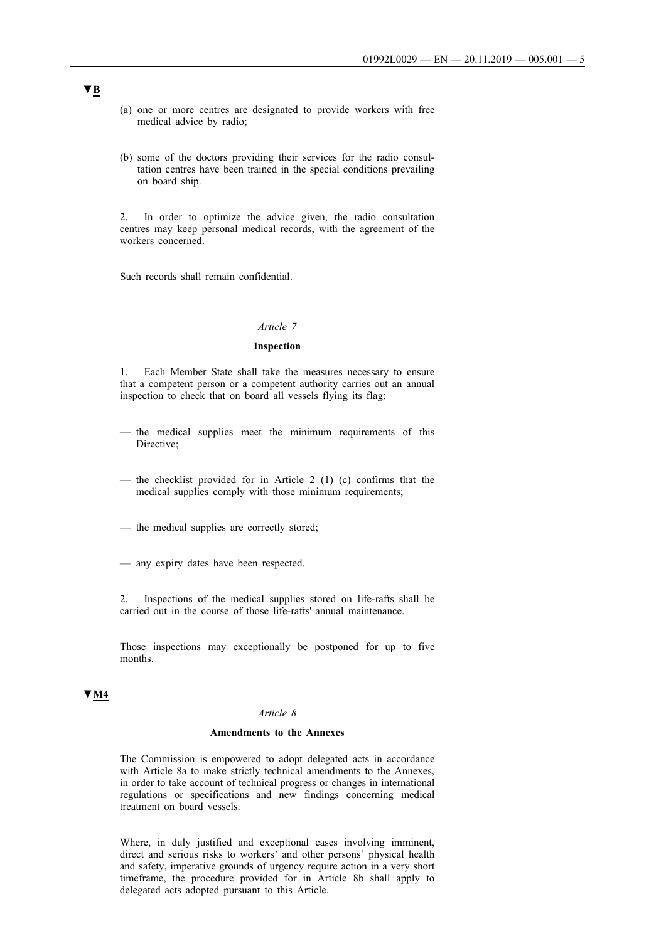- (a) one or more centres are designated to provide workers with free medical advice by radio;
- (b) some of the doctors providing their services for the radio consultation centres have been trained in the special conditions prevailing on board ship.

2. In order to optimize the advice given, the radio consultation centres may keep personal medical records, with the agreement of the workers concerned.

Such records shall remain confidential.

#### *Article 7*

#### **Inspection**

1. Each Member State shall take the measures necessary to ensure that a competent person or a competent authority carries out an annual inspection to check that on board all vessels flying its flag:

- the medical supplies meet the minimum requirements of this Directive;
- the checklist provided for in Article 2 (1) (c) confirms that the medical supplies comply with those minimum requirements;
- the medical supplies are correctly stored;
- any expiry dates have been respected.

2. Inspections of the medical supplies stored on life-rafts shall be carried out in the course of those life-rafts' annual maintenance.

Those inspections may exceptionally be postponed for up to five months.

# **▼M4**

## *Article 8*

#### **Amendments to the Annexes**

The Commission is empowered to adopt delegated acts in accordance with Article 8a to make strictly technical amendments to the Annexes, in order to take account of technical progress or changes in international regulations or specifications and new findings concerning medical treatment on board vessels.

Where, in duly justified and exceptional cases involving imminent, direct and serious risks to workers' and other persons' physical health and safety, imperative grounds of urgency require action in a very short timeframe, the procedure provided for in Article 8b shall apply to delegated acts adopted pursuant to this Article.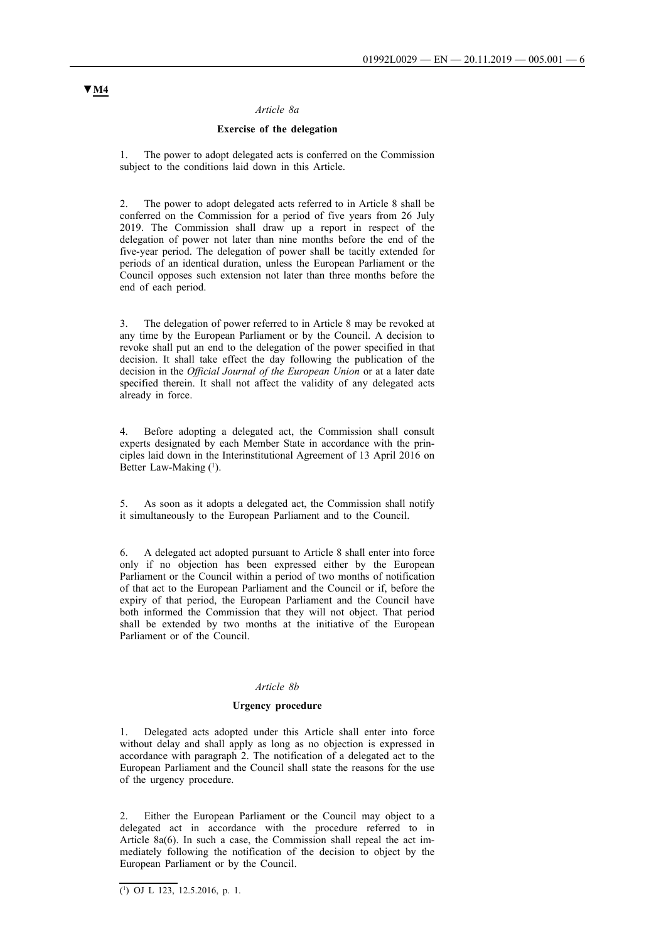#### *Article 8a*

#### **Exercise of the delegation**

The power to adopt delegated acts is conferred on the Commission subject to the conditions laid down in this Article.

2. The power to adopt delegated acts referred to in Article 8 shall be conferred on the Commission for a period of five years from 26 July 2019. The Commission shall draw up a report in respect of the delegation of power not later than nine months before the end of the five-year period. The delegation of power shall be tacitly extended for periods of an identical duration, unless the European Parliament or the Council opposes such extension not later than three months before the end of each period.

3. The delegation of power referred to in Article 8 may be revoked at any time by the European Parliament or by the Council. A decision to revoke shall put an end to the delegation of the power specified in that decision. It shall take effect the day following the publication of the decision in the *Official Journal of the European Union* or at a later date specified therein. It shall not affect the validity of any delegated acts already in force.

4. Before adopting a delegated act, the Commission shall consult experts designated by each Member State in accordance with the principles laid down in the Interinstitutional Agreement of 13 April 2016 on Better Law-Making  $(1)$ .

5. As soon as it adopts a delegated act, the Commission shall notify it simultaneously to the European Parliament and to the Council.

6. A delegated act adopted pursuant to Article 8 shall enter into force only if no objection has been expressed either by the European Parliament or the Council within a period of two months of notification of that act to the European Parliament and the Council or if, before the expiry of that period, the European Parliament and the Council have both informed the Commission that they will not object. That period shall be extended by two months at the initiative of the European Parliament or of the Council.

#### *Article 8b*

#### **Urgency procedure**

1. Delegated acts adopted under this Article shall enter into force without delay and shall apply as long as no objection is expressed in accordance with paragraph 2. The notification of a delegated act to the European Parliament and the Council shall state the reasons for the use of the urgency procedure.

2. Either the European Parliament or the Council may object to a delegated act in accordance with the procedure referred to in Article 8a(6). In such a case, the Commission shall repeal the act immediately following the notification of the decision to object by the European Parliament or by the Council.

 $(1)$  OJ L 123, 12.5.2016, p. 1.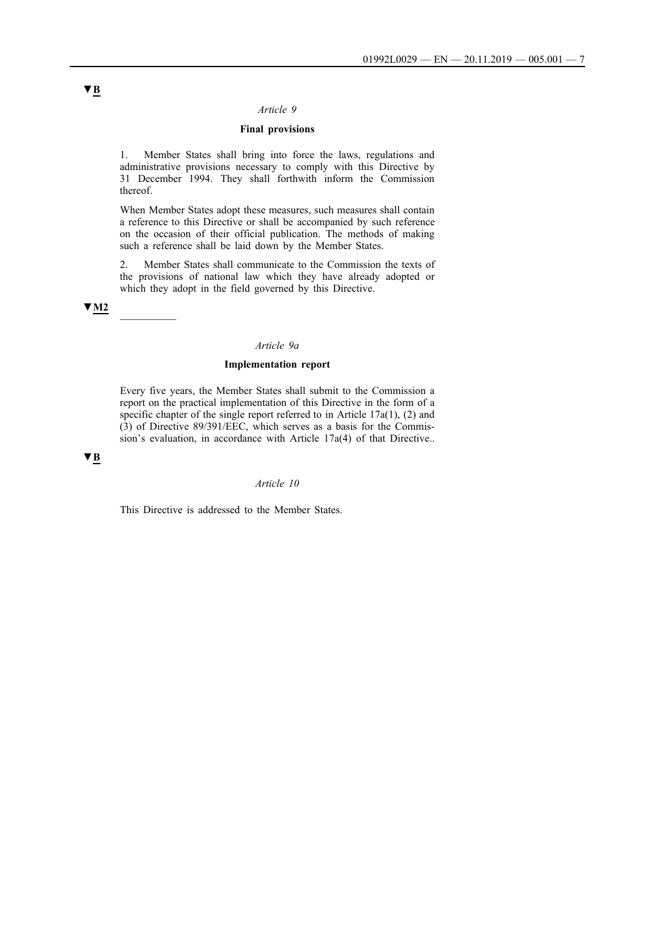#### *Article 9*

#### **Final provisions**

1. Member States shall bring into force the laws, regulations and administrative provisions necessary to comply with this Directive by 31 December 1994. They shall forthwith inform the Commission thereof.

When Member States adopt these measures, such measures shall contain a reference to this Directive or shall be accompanied by such reference on the occasion of their official publication. The methods of making such a reference shall be laid down by the Member States.

2. Member States shall communicate to the Commission the texts of the provisions of national law which they have already adopted or which they adopt in the field governed by this Directive.

# **▼M2** \_\_\_\_\_\_\_\_\_\_

#### *Article 9a*

#### **Implementation report**

Every five years, the Member States shall submit to the Commission a report on the practical implementation of this Directive in the form of a specific chapter of the single report referred to in Article 17a(1), (2) and (3) of Directive 89/391/EEC, which serves as a basis for the Commission's evaluation, in accordance with Article 17a(4) of that Directive..

#### **▼B**

# *Article 10*

This Directive is addressed to the Member States.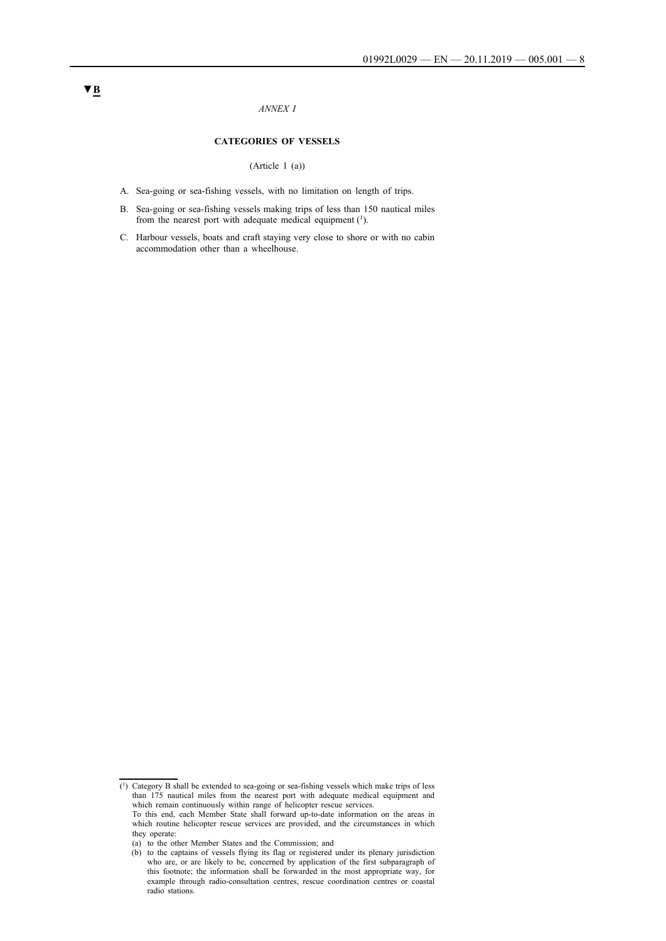#### *ANNEX I*

#### **CATEGORIES OF VESSELS**

(Article 1 (a))

- A. Sea-going or sea-fishing vessels, with no limitation on length of trips.
- B. Sea-going or sea-fishing vessels making trips of less than 150 nautical miles from the nearest port with adequate medical equipment (1).
- C. Harbour vessels, boats and craft staying very close to shore or with no cabin accommodation other than a wheelhouse.

 $(1)$  Category B shall be extended to sea-going or sea-fishing vessels which make trips of less than 175 nautical miles from the nearest port with adequate medical equipment and which remain continuously within range of helicopter rescue services.

To this end, each Member State shall forward up-to-date information on the areas in which routine helicopter rescue services are provided, and the circumstances in which they operate:

<sup>(</sup>a) to the other Member States and the Commission; and

<sup>(</sup>b) to the captains of vessels flying its flag or registered under its plenary jurisdiction who are, or are likely to be, concerned by application of the first subparagraph of this footnote; the information shall be forwarded in the most appropriate way, for example through radio-consultation centres, rescue coordination centres or coastal radio stations.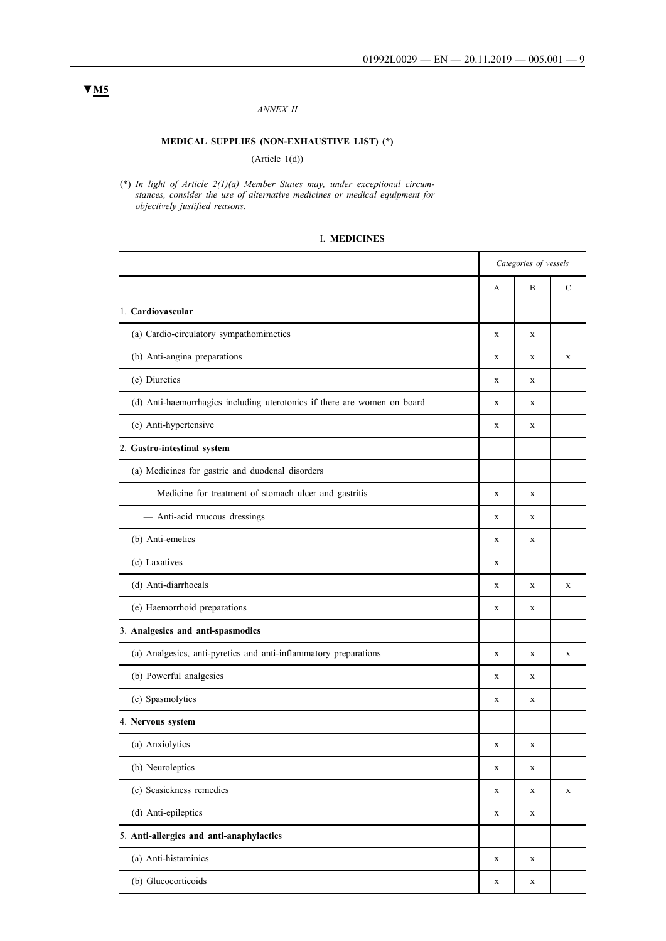#### *ANNEX II*

# **MEDICAL SUPPLIES (NON-EXHAUSTIVE LIST) (\*)**

#### (Article 1(d))

(\*) *In light of Article 2(1)(a) Member States may, under exceptional circumstances, consider the use of alternative medicines or medical equipment for objectively justified reasons.*

#### I. **MEDICINES**

|                                                                          | Categories of vessels |   |               |
|--------------------------------------------------------------------------|-----------------------|---|---------------|
|                                                                          | А                     | B | $\mathcal{C}$ |
| 1. Cardiovascular                                                        |                       |   |               |
| (a) Cardio-circulatory sympathomimetics                                  | $\mathbf X$           | X |               |
| (b) Anti-angina preparations                                             | X                     | X | X             |
| (c) Diuretics                                                            | X                     | X |               |
| (d) Anti-haemorrhagics including uterotonics if there are women on board | X                     | X |               |
| (e) Anti-hypertensive                                                    | X                     | X |               |
| 2. Gastro-intestinal system                                              |                       |   |               |
| (a) Medicines for gastric and duodenal disorders                         |                       |   |               |
| - Medicine for treatment of stomach ulcer and gastritis                  | X                     | X |               |
| - Anti-acid mucous dressings                                             | X                     | X |               |
| (b) Anti-emetics                                                         | X                     | X |               |
| (c) Laxatives                                                            | X                     |   |               |
| (d) Anti-diarrhoeals                                                     | X                     | X | X             |
| (e) Haemorrhoid preparations                                             | X                     | X |               |
| 3. Analgesics and anti-spasmodics                                        |                       |   |               |
| (a) Analgesics, anti-pyretics and anti-inflammatory preparations         | X                     | X | X             |
| (b) Powerful analgesics                                                  | X                     | X |               |
| (c) Spasmolytics                                                         | X                     | X |               |
| 4. Nervous system                                                        |                       |   |               |
| (a) Anxiolytics                                                          | X                     | X |               |
| (b) Neuroleptics                                                         | X                     | X |               |
| (c) Seasickness remedies                                                 | X                     | X | $\mathbf X$   |
| (d) Anti-epileptics                                                      | $\mathbf X$           | X |               |
| 5. Anti-allergics and anti-anaphylactics                                 |                       |   |               |
| (a) Anti-histaminics                                                     | $\mathbf X$           | X |               |
| (b) Glucocorticoids                                                      | X                     | X |               |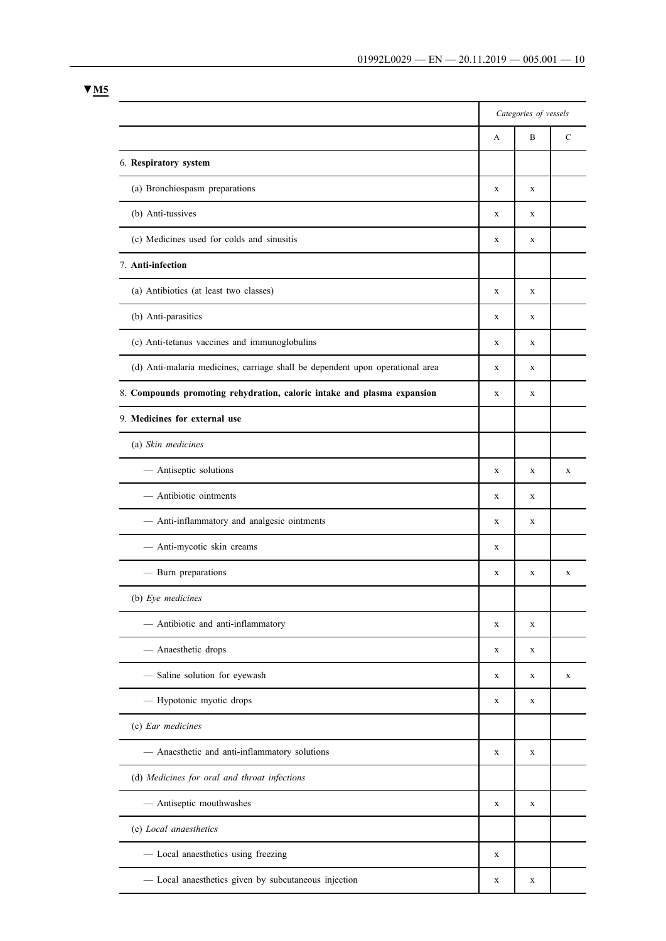|                                                                               | Categories of vessels |             |             |
|-------------------------------------------------------------------------------|-----------------------|-------------|-------------|
|                                                                               | A                     | B           | C           |
| 6. Respiratory system                                                         |                       |             |             |
| (a) Bronchiospasm preparations                                                | X                     | X           |             |
| (b) Anti-tussives                                                             | X                     | X           |             |
| (c) Medicines used for colds and sinusitis                                    | $\mathbf X$           | X           |             |
| 7. Anti-infection                                                             |                       |             |             |
| (a) Antibiotics (at least two classes)                                        | X                     | X           |             |
| (b) Anti-parasitics                                                           | X                     | X           |             |
| (c) Anti-tetanus vaccines and immunoglobulins                                 | $\mathbf X$           | X           |             |
| (d) Anti-malaria medicines, carriage shall be dependent upon operational area | X                     | X           |             |
| 8. Compounds promoting rehydration, caloric intake and plasma expansion       | X                     | X           |             |
| 9. Medicines for external use                                                 |                       |             |             |
| (a) Skin medicines                                                            |                       |             |             |
| - Antiseptic solutions                                                        | X                     | X           | X           |
| - Antibiotic ointments                                                        | $\mathbf X$           | X           |             |
| - Anti-inflammatory and analgesic ointments                                   | X                     | X           |             |
| - Anti-mycotic skin creams                                                    | X                     |             |             |
| - Burn preparations                                                           | X                     | X           | $\mathbf X$ |
| (b) Eye medicines                                                             |                       |             |             |
| - Antibiotic and anti-inflammatory                                            | X                     | X           |             |
| - Anaesthetic drops                                                           | X                     | X           |             |
| - Saline solution for eyewash                                                 | X                     | X           | $\mathbf X$ |
| - Hypotonic myotic drops                                                      | X                     | X           |             |
| (c) Ear medicines                                                             |                       |             |             |
| - Anaesthetic and anti-inflammatory solutions                                 | $\mathbf X$           | $\mathbf X$ |             |
| (d) Medicines for oral and throat infections                                  |                       |             |             |
| - Antiseptic mouthwashes                                                      | $\mathbf X$           | $\mathbf X$ |             |
| (e) Local anaesthetics                                                        |                       |             |             |
| - Local anaesthetics using freezing                                           | $\mathbf X$           |             |             |
| - Local anaesthetics given by subcutaneous injection                          | X                     | X           |             |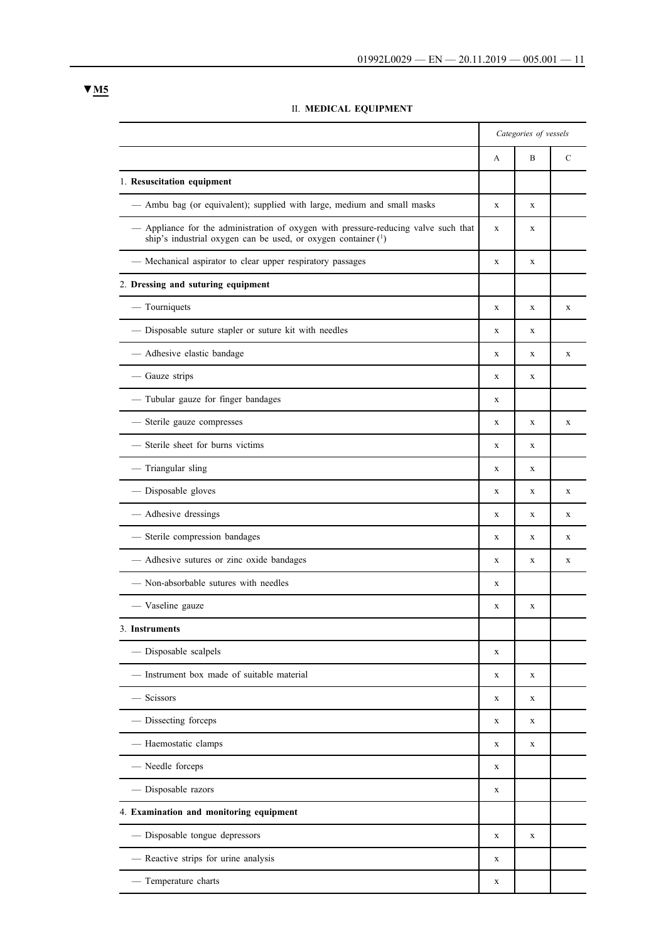|                                                                                                                                                      | Categories of vessels |             |               |
|------------------------------------------------------------------------------------------------------------------------------------------------------|-----------------------|-------------|---------------|
|                                                                                                                                                      | A                     | B           | $\mathcal{C}$ |
| 1. Resuscitation equipment                                                                                                                           |                       |             |               |
| - Ambu bag (or equivalent); supplied with large, medium and small masks                                                                              | $\mathbf X$           | X           |               |
| - Appliance for the administration of oxygen with pressure-reducing valve such that<br>ship's industrial oxygen can be used, or oxygen container (1) | $\mathbf X$           | X           |               |
| - Mechanical aspirator to clear upper respiratory passages                                                                                           | $\mathbf X$           | $\mathbf X$ |               |
| 2. Dressing and suturing equipment                                                                                                                   |                       |             |               |
| — Tourniquets                                                                                                                                        | X                     | X           | X             |
| - Disposable suture stapler or suture kit with needles                                                                                               | X                     | X           |               |
| - Adhesive elastic bandage                                                                                                                           | X                     | X           | X             |
| - Gauze strips                                                                                                                                       | X                     | X           |               |
| - Tubular gauze for finger bandages                                                                                                                  | X                     |             |               |
| - Sterile gauze compresses                                                                                                                           | X                     | X           | $\mathbf X$   |
| Sterile sheet for burns victims                                                                                                                      | X                     | X           |               |
| - Triangular sling                                                                                                                                   | X                     | X           |               |
| - Disposable gloves                                                                                                                                  | X                     | X           | $\mathbf X$   |
| - Adhesive dressings                                                                                                                                 | X                     | X           | X             |
| - Sterile compression bandages                                                                                                                       | X                     | X           | X             |
| - Adhesive sutures or zinc oxide bandages                                                                                                            | X                     | X           | X             |
| - Non-absorbable sutures with needles                                                                                                                | X                     |             |               |
| - Vaseline gauze                                                                                                                                     | X                     | X           |               |
| 3. Instruments                                                                                                                                       |                       |             |               |
| - Disposable scalpels                                                                                                                                | X                     |             |               |
| - Instrument box made of suitable material                                                                                                           | X                     | X           |               |
| - Scissors                                                                                                                                           | X                     | X           |               |
| - Dissecting forceps                                                                                                                                 | X                     | X           |               |
| - Haemostatic clamps                                                                                                                                 | X                     | X           |               |
| - Needle forceps                                                                                                                                     | X                     |             |               |
| - Disposable razors                                                                                                                                  | X                     |             |               |
| 4. Examination and monitoring equipment                                                                                                              |                       |             |               |
| - Disposable tongue depressors                                                                                                                       | X                     | X           |               |
| - Reactive strips for urine analysis                                                                                                                 | X                     |             |               |
| - Temperature charts                                                                                                                                 | X                     |             |               |

# II. **MEDICAL EQUIPMENT**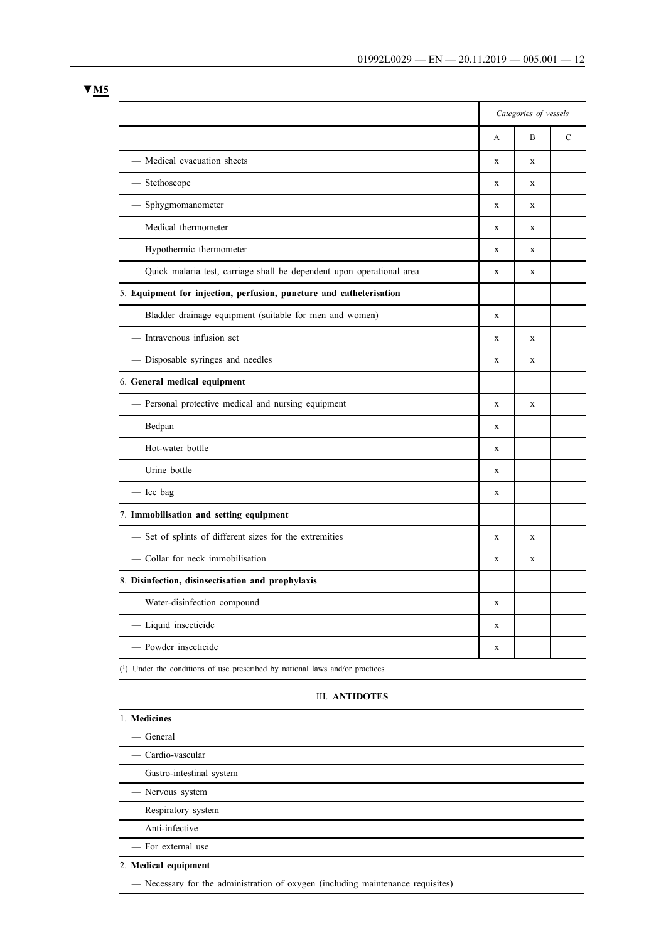|                                                                         | Categories of vessels |              |               |
|-------------------------------------------------------------------------|-----------------------|--------------|---------------|
|                                                                         | A                     | B            | $\mathcal{C}$ |
| - Medical evacuation sheets                                             | $\mathbf X$           | X            |               |
| - Stethoscope                                                           | X                     | X            |               |
| - Sphygmomanometer                                                      | X                     | X            |               |
| - Medical thermometer                                                   | X                     | X            |               |
| - Hypothermic thermometer                                               | $\mathbf x$           | X            |               |
| - Quick malaria test, carriage shall be dependent upon operational area | $\mathbf X$           | $\mathbf{x}$ |               |
| 5. Equipment for injection, perfusion, puncture and catheterisation     |                       |              |               |
| - Bladder drainage equipment (suitable for men and women)               | $\mathbf X$           |              |               |
| - Intravenous infusion set                                              | $\mathbf x$           | $\mathbf x$  |               |
| - Disposable syringes and needles                                       | $\mathbf x$           | $\mathbf x$  |               |
| 6. General medical equipment                                            |                       |              |               |
| - Personal protective medical and nursing equipment                     | $\mathbf X$           | X            |               |
| - Bedpan                                                                | X                     |              |               |
| - Hot-water bottle                                                      | $\mathbf X$           |              |               |
| - Urine bottle                                                          | X                     |              |               |
| - Ice bag                                                               | $\mathbf X$           |              |               |
| 7. Immobilisation and setting equipment                                 |                       |              |               |
| - Set of splints of different sizes for the extremities                 | X                     | X            |               |
| - Collar for neck immobilisation                                        | $\mathbf X$           | X            |               |
| 8. Disinfection, disinsectisation and prophylaxis                       |                       |              |               |
| - Water-disinfection compound                                           | $\mathbf x$           |              |               |
| - Liquid insecticide                                                    | $\mathbf X$           |              |               |
| - Powder insecticide                                                    | $\mathbf X$           |              |               |

# III. **ANTIDOTES**

| 1. Medicines               |  |
|----------------------------|--|
| — General                  |  |
| — Cardio-vascular          |  |
| - Gastro-intestinal system |  |
| - Nervous system           |  |
| - Respiratory system       |  |
| - Anti-infective           |  |
| - For external use         |  |
| 2. Medical equipment       |  |

**▼M5**

— Necessary for the administration of oxygen (including maintenance requisites)

(1) Under the conditions of use prescribed by national laws and/or practices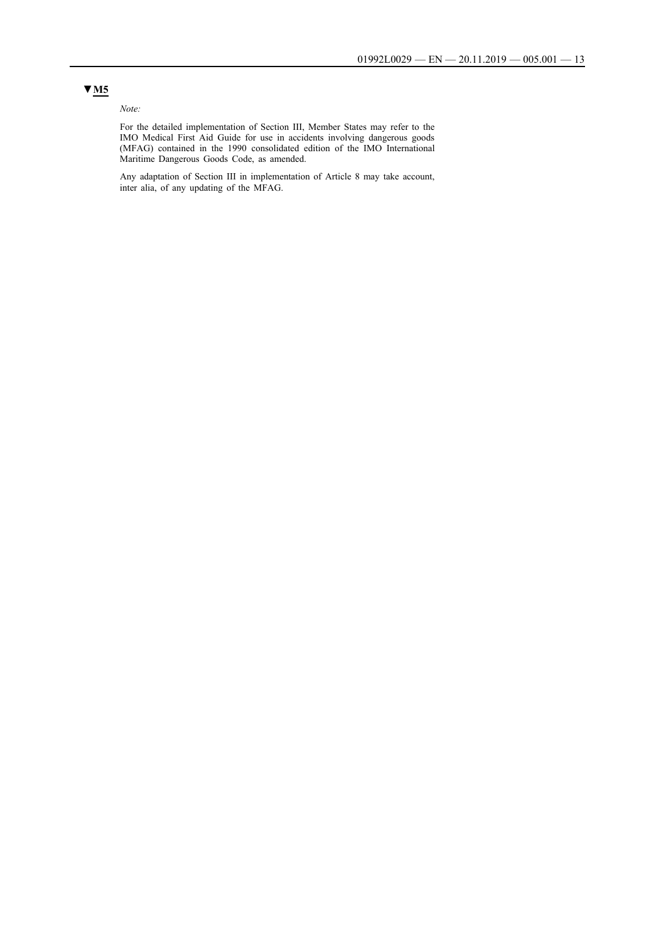# *Note:*

For the detailed implementation of Section III, Member States may refer to the IMO Medical First Aid Guide for use in accidents involving dangerous goods (MFAG) contained in the 1990 consolidated edition of the IMO International Maritime Dangerous Goods Code, as amended.

Any adaptation of Section III in implementation of Article 8 may take account, inter alia, of any updating of the MFAG.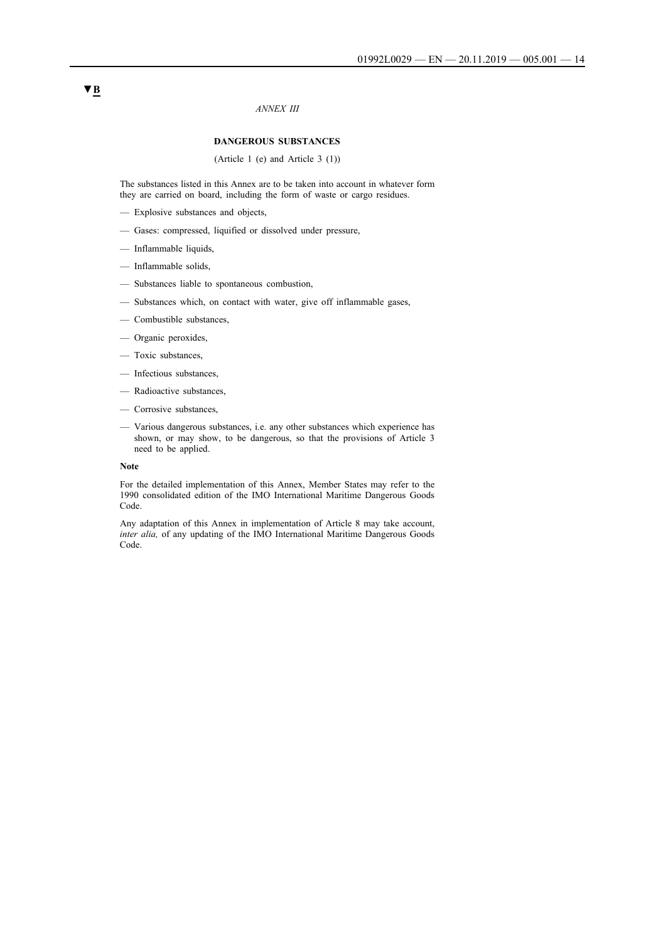#### *ANNEX III*

#### **DANGEROUS SUBSTANCES**

(Article 1 (e) and Article 3 (1))

The substances listed in this Annex are to be taken into account in whatever form they are carried on board, including the form of waste or cargo residues.

- Explosive substances and objects,
- Gases: compressed, liquified or dissolved under pressure,
- Inflammable liquids,
- Inflammable solids,
- Substances liable to spontaneous combustion,
- Substances which, on contact with water, give off inflammable gases,
- Combustible substances,
- Organic peroxides,
- Toxic substances,
- Infectious substances,
- Radioactive substances,
- Corrosive substances,
- Various dangerous substances, i.e. any other substances which experience has shown, or may show, to be dangerous, so that the provisions of Article 3 need to be applied.

#### **Note**

For the detailed implementation of this Annex, Member States may refer to the 1990 consolidated edition of the IMO International Maritime Dangerous Goods Code.

Any adaptation of this Annex in implementation of Article 8 may take account, *inter alia,* of any updating of the IMO International Maritime Dangerous Goods Code.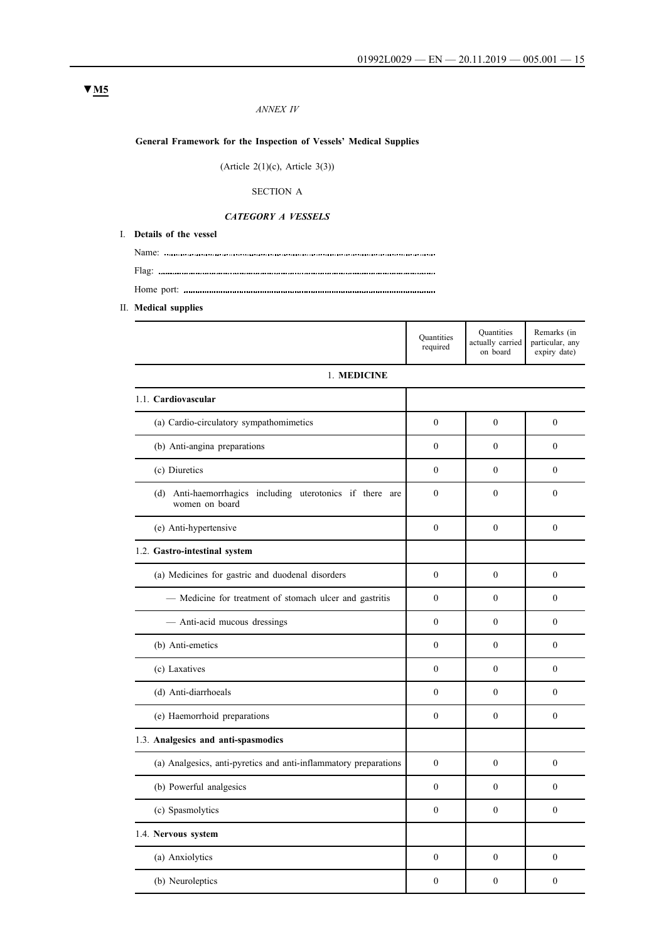# *ANNEX IV*

# **General Framework for the Inspection of Vessels' Medical Supplies**

(Article  $2(1)(c)$ , Article  $3(3)$ )

# SECTION A

#### *CATEGORY A VESSELS*

Home port:

- I. **Details of the vessel**
	- Name:
- Flag:
- II. **Medical supplies**

|                                                                             | <b>Quantities</b><br>required | <b>Quantities</b><br>actually carried<br>on board | Remarks (in<br>particular, any<br>expiry date) |
|-----------------------------------------------------------------------------|-------------------------------|---------------------------------------------------|------------------------------------------------|
| 1. MEDICINE                                                                 |                               |                                                   |                                                |
| 1.1. Cardiovascular                                                         |                               |                                                   |                                                |
| (a) Cardio-circulatory sympathomimetics                                     | $\theta$                      | $\theta$                                          | $\theta$                                       |
| (b) Anti-angina preparations                                                | $\Omega$                      | $\Omega$                                          | $\theta$                                       |
| (c) Diuretics                                                               | $\theta$                      | $\theta$                                          | $\theta$                                       |
| (d) Anti-haemorrhagics including uterotonics if there are<br>women on board | $\theta$                      | $\theta$                                          | $\theta$                                       |
| (e) Anti-hypertensive                                                       | $\theta$                      | $\theta$                                          | $\theta$                                       |
| 1.2. Gastro-intestinal system                                               |                               |                                                   |                                                |
| (a) Medicines for gastric and duodenal disorders                            | $\mathbf{0}$                  | $\theta$                                          | $\mathbf{0}$                                   |
| - Medicine for treatment of stomach ulcer and gastritis                     | $\theta$                      | $\theta$                                          | $\theta$                                       |
| - Anti-acid mucous dressings                                                | $\Omega$                      | $\theta$                                          | $\theta$                                       |
| (b) Anti-emetics                                                            | $\Omega$                      | $\theta$                                          | $\mathbf{0}$                                   |
| (c) Laxatives                                                               | $\mathbf{0}$                  | $\theta$                                          | $\mathbf{0}$                                   |
| (d) Anti-diarrhoeals                                                        | $\theta$                      | $\theta$                                          | $\theta$                                       |
| (e) Haemorrhoid preparations                                                | $\mathbf{0}$                  | $\mathbf{0}$                                      | $\mathbf{0}$                                   |
| 1.3. Analgesics and anti-spasmodics                                         |                               |                                                   |                                                |
| (a) Analgesics, anti-pyretics and anti-inflammatory preparations            | $\overline{0}$                | $\Omega$                                          | $\Omega$                                       |
| (b) Powerful analgesics                                                     | $\mathbf{0}$                  | $\Omega$                                          | $\mathbf{0}$                                   |
| (c) Spasmolytics                                                            | $\mathbf{0}$                  | $\Omega$                                          | $\mathbf{0}$                                   |
| 1.4. Nervous system                                                         |                               |                                                   |                                                |
| (a) Anxiolytics                                                             | $\theta$                      | $\theta$                                          | $\theta$                                       |
| (b) Neuroleptics                                                            | $\mathbf{0}$                  | $\theta$                                          | $\mathbf{0}$                                   |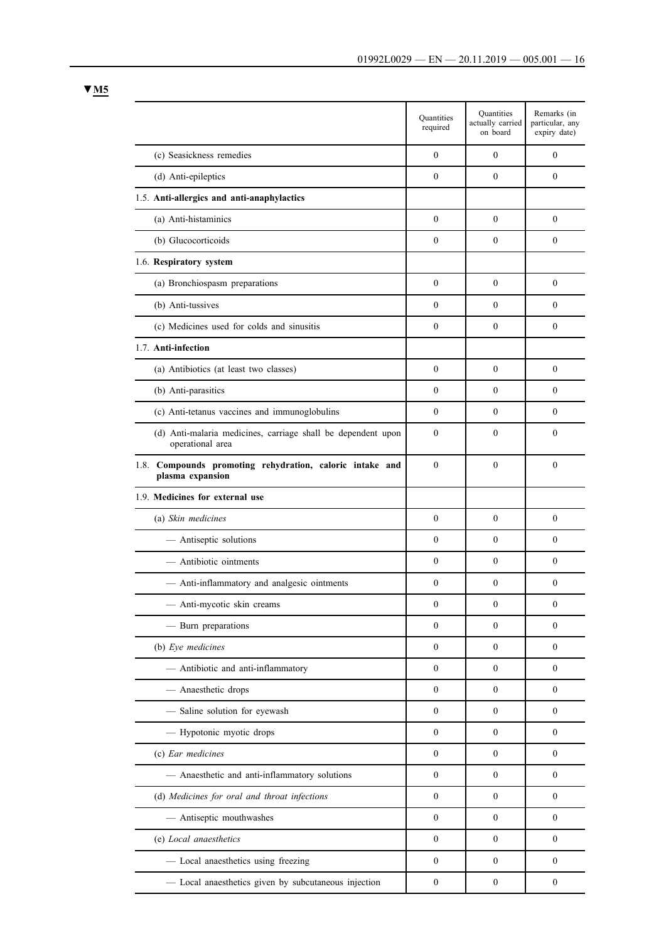|                                                                                  | <b>Quantities</b><br>required | Quantities<br>actually carried<br>on board | Remarks (in<br>particular, any<br>expiry date) |
|----------------------------------------------------------------------------------|-------------------------------|--------------------------------------------|------------------------------------------------|
| (c) Seasickness remedies                                                         | $\mathbf{0}$                  | $\mathbf{0}$                               | $\mathbf{0}$                                   |
| (d) Anti-epileptics                                                              | $\theta$                      | $\boldsymbol{0}$                           | $\mathbf{0}$                                   |
| 1.5. Anti-allergics and anti-anaphylactics                                       |                               |                                            |                                                |
| (a) Anti-histaminics                                                             | $\mathbf{0}$                  | $\mathbf{0}$                               | $\theta$                                       |
| (b) Glucocorticoids                                                              | $\boldsymbol{0}$              | $\mathbf{0}$                               | $\mathbf{0}$                                   |
| 1.6. Respiratory system                                                          |                               |                                            |                                                |
| (a) Bronchiospasm preparations                                                   | $\theta$                      | $\mathbf{0}$                               | $\theta$                                       |
| (b) Anti-tussives                                                                | $\theta$                      | $\theta$                                   | $\theta$                                       |
| (c) Medicines used for colds and sinusitis                                       | $\mathbf{0}$                  | $\mathbf{0}$                               | $\mathbf{0}$                                   |
| 1.7. Anti-infection                                                              |                               |                                            |                                                |
| (a) Antibiotics (at least two classes)                                           | $\mathbf{0}$                  | $\mathbf{0}$                               | $\theta$                                       |
| (b) Anti-parasitics                                                              | $\theta$                      | $\mathbf{0}$                               | $\theta$                                       |
| (c) Anti-tetanus vaccines and immunoglobulins                                    | $\boldsymbol{0}$              | $\mathbf{0}$                               | $\theta$                                       |
| (d) Anti-malaria medicines, carriage shall be dependent upon<br>operational area | $\mathbf{0}$                  | 0                                          | $\boldsymbol{0}$                               |
| 1.8. Compounds promoting rehydration, caloric intake and<br>plasma expansion     | $\boldsymbol{0}$              | $\mathbf{0}$                               | $\theta$                                       |
| 1.9. Medicines for external use                                                  |                               |                                            |                                                |
| (a) Skin medicines                                                               | $\boldsymbol{0}$              | $\mathbf{0}$                               | $\theta$                                       |
| - Antiseptic solutions                                                           | $\boldsymbol{0}$              | 0                                          | $\theta$                                       |
| Antibiotic ointments                                                             | $\boldsymbol{0}$              | $\mathbf{0}$                               | $\theta$                                       |
| - Anti-inflammatory and analgesic ointments                                      | $\boldsymbol{0}$              | 0                                          | $\boldsymbol{0}$                               |
| Anti-mycotic skin creams                                                         | $\boldsymbol{0}$              | $\boldsymbol{0}$                           | $\boldsymbol{0}$                               |
| - Burn preparations                                                              | $\mathbf{0}$                  | $\mathbf{0}$                               | $\mathbf{0}$                                   |
| (b) Eye medicines                                                                | $\boldsymbol{0}$              | $\mathbf{0}$                               | $\mathbf{0}$                                   |
| - Antibiotic and anti-inflammatory                                               | $\boldsymbol{0}$              | $\boldsymbol{0}$                           | $\mathbf{0}$                                   |
| - Anaesthetic drops                                                              | $\boldsymbol{0}$              | 0                                          | $\mathbf{0}$                                   |
| - Saline solution for eyewash                                                    | $\boldsymbol{0}$              | $\boldsymbol{0}$                           | $\boldsymbol{0}$                               |
| - Hypotonic myotic drops                                                         | $\boldsymbol{0}$              | 0                                          | $\boldsymbol{0}$                               |
| (c) Ear medicines                                                                | $\mathbf{0}$                  | $\mathbf{0}$                               | $\mathbf{0}$                                   |
| - Anaesthetic and anti-inflammatory solutions                                    | $\boldsymbol{0}$              | 0                                          | $\boldsymbol{0}$                               |
| (d) Medicines for oral and throat infections                                     | $\boldsymbol{0}$              | $\boldsymbol{0}$                           | $\mathbf{0}$                                   |
| - Antiseptic mouthwashes                                                         | $\boldsymbol{0}$              | $\boldsymbol{0}$                           | $\boldsymbol{0}$                               |
| (e) Local anaesthetics                                                           | $\boldsymbol{0}$              | 0                                          | $\mathbf{0}$                                   |
| - Local anaesthetics using freezing                                              | $\mathbf{0}$                  | $\mathbf{0}$                               | $\mathbf{0}$                                   |
| - Local anaesthetics given by subcutaneous injection                             | $\boldsymbol{0}$              | $\boldsymbol{0}$                           | $\boldsymbol{0}$                               |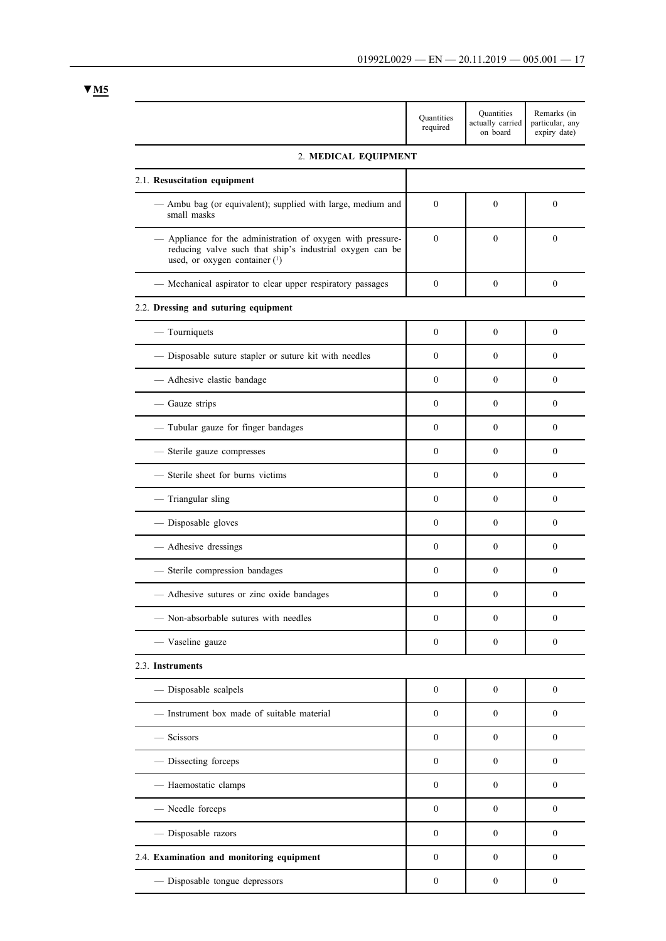|                                                                                                                                                          | Quantities<br>required | Quantities<br>actually carried<br>on board | Remarks (in<br>particular, any<br>expiry date) |
|----------------------------------------------------------------------------------------------------------------------------------------------------------|------------------------|--------------------------------------------|------------------------------------------------|
| 2. MEDICAL EQUIPMENT                                                                                                                                     |                        |                                            |                                                |
| 2.1. Resuscitation equipment                                                                                                                             |                        |                                            |                                                |
| Ambu bag (or equivalent); supplied with large, medium and<br>small masks                                                                                 | $\mathbf{0}$           | $\mathbf{0}$                               | $\mathbf{0}$                                   |
| Appliance for the administration of oxygen with pressure-<br>reducing valve such that ship's industrial oxygen can be<br>used, or oxygen container $(1)$ | $\mathbf{0}$           | $\boldsymbol{0}$                           | $\mathbf{0}$                                   |
| Mechanical aspirator to clear upper respiratory passages                                                                                                 | $\mathbf{0}$           | $\boldsymbol{0}$                           | $\mathbf{0}$                                   |
| 2.2. Dressing and suturing equipment                                                                                                                     |                        |                                            |                                                |
| $-$ Tourniquets                                                                                                                                          | $\mathbf{0}$           | $\mathbf{0}$                               | $\mathbf{0}$                                   |
| - Disposable suture stapler or suture kit with needles                                                                                                   | $\mathbf{0}$           | $\mathbf{0}$                               | $\mathbf{0}$                                   |
| Adhesive elastic bandage                                                                                                                                 | $\mathbf{0}$           | $\mathbf{0}$                               | $\mathbf{0}$                                   |
| - Gauze strips                                                                                                                                           | $\Omega$               | $\theta$                                   | $\mathbf{0}$                                   |
| - Tubular gauze for finger bandages                                                                                                                      | $\mathbf{0}$           | $\mathbf{0}$                               | $\theta$                                       |
| Sterile gauze compresses                                                                                                                                 | $\Omega$               | $\theta$                                   | $\theta$                                       |
| Sterile sheet for burns victims                                                                                                                          | $\mathbf{0}$           | $\mathbf{0}$                               | $\boldsymbol{0}$                               |
| - Triangular sling                                                                                                                                       | $\Omega$               | $\Omega$                                   | $\theta$                                       |
| - Disposable gloves                                                                                                                                      | $\mathbf{0}$           | $\mathbf{0}$                               | $\mathbf{0}$                                   |
| Adhesive dressings                                                                                                                                       | $\mathbf{0}$           | $\mathbf{0}$                               | $\boldsymbol{0}$                               |
| - Sterile compression bandages                                                                                                                           | $\mathbf{0}$           | $\mathbf{0}$                               | $\mathbf{0}$                                   |
| Adhesive sutures or zinc oxide bandages                                                                                                                  | $\mathbf{0}$           | $\mathbf{0}$                               | $\mathbf{0}$                                   |
| Non-absorbable sutures with needles                                                                                                                      | $\mathbf{0}$           | $\mathbf{0}$                               | $\mathbf{0}$                                   |
| - Vaseline gauze                                                                                                                                         | $\boldsymbol{0}$       | $\boldsymbol{0}$                           | $\boldsymbol{0}$                               |
| 2.3. Instruments                                                                                                                                         |                        |                                            |                                                |
| - Disposable scalpels                                                                                                                                    | $\bf{0}$               | $\boldsymbol{0}$                           | $\boldsymbol{0}$                               |
| - Instrument box made of suitable material                                                                                                               | $\mathbf{0}$           | $\mathbf{0}$                               | $\mathbf{0}$                                   |
| - Scissors                                                                                                                                               | $\boldsymbol{0}$       | $\mathbf{0}$                               | $\boldsymbol{0}$                               |
| - Dissecting forceps                                                                                                                                     | $\mathbf{0}$           | 0                                          | $\mathbf{0}$                                   |
| - Haemostatic clamps                                                                                                                                     | $\mathbf{0}$           | $\mathbf{0}$                               | $\mathbf{0}$                                   |
| - Needle forceps                                                                                                                                         | $\mathbf{0}$           | $\mathbf{0}$                               | $\mathbf{0}$                                   |
| - Disposable razors                                                                                                                                      | $\mathbf{0}$           | $\mathbf{0}$                               | $\mathbf{0}$                                   |
| 2.4. Examination and monitoring equipment                                                                                                                | $\boldsymbol{0}$       | $\mathbf{0}$                               | $\boldsymbol{0}$                               |
| Disposable tongue depressors                                                                                                                             | $\boldsymbol{0}$       | 0                                          | $\boldsymbol{0}$                               |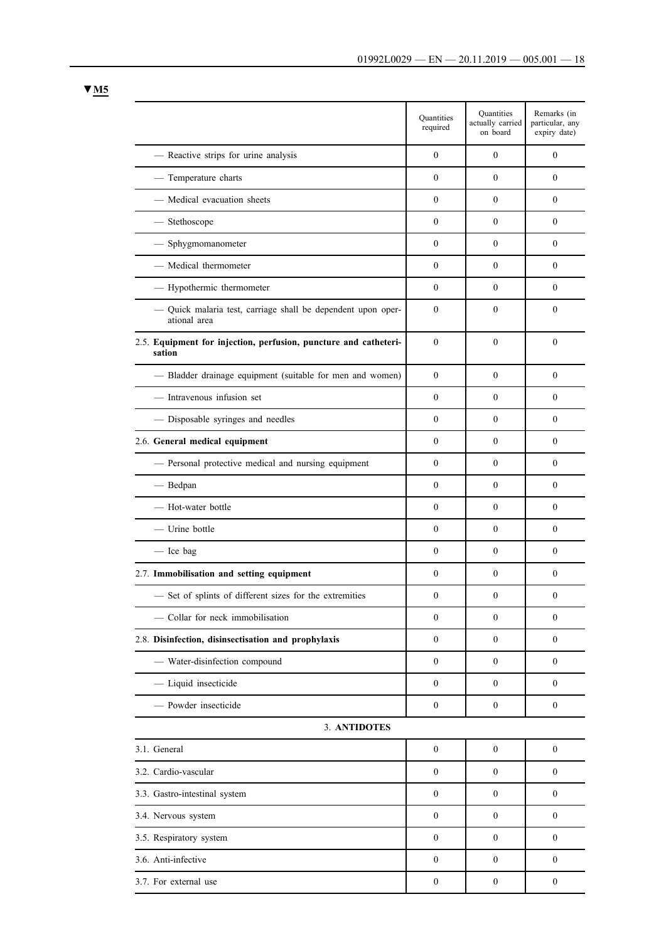|                                                                              | Quantities<br>required | Quantities<br>actually carried<br>on board | Remarks (in<br>particular, any<br>expiry date) |
|------------------------------------------------------------------------------|------------------------|--------------------------------------------|------------------------------------------------|
| - Reactive strips for urine analysis                                         | $\mathbf{0}$           | $\theta$                                   | $\theta$                                       |
| - Temperature charts                                                         | $\theta$               | $\Omega$                                   | $\theta$                                       |
| - Medical evacuation sheets                                                  | $\theta$               | $\theta$                                   | $\theta$                                       |
| - Stethoscope                                                                | $\theta$               | $\theta$                                   | $\theta$                                       |
| - Sphygmomanometer                                                           | $\theta$               | $\mathbf{0}$                               | $\theta$                                       |
| - Medical thermometer                                                        | $\boldsymbol{0}$       | $\mathbf{0}$                               | $\theta$                                       |
| - Hypothermic thermometer                                                    | $\theta$               | $\Omega$                                   | $\theta$                                       |
| - Quick malaria test, carriage shall be dependent upon oper-<br>ational area | $\theta$               | $\Omega$                                   | $\theta$                                       |
| 2.5. Equipment for injection, perfusion, puncture and catheteri-<br>sation   | $\theta$               | $\mathbf{0}$                               | $\mathbf{0}$                                   |
| - Bladder drainage equipment (suitable for men and women)                    | $\theta$               | $\mathbf{0}$                               | $\theta$                                       |
| - Intravenous infusion set                                                   | $\Omega$               | $\Omega$                                   | $\theta$                                       |
| - Disposable syringes and needles                                            | $\overline{0}$         | $\theta$                                   | $\theta$                                       |
| 2.6. General medical equipment                                               | $\mathbf{0}$           | $\mathbf{0}$                               | $\theta$                                       |
| - Personal protective medical and nursing equipment                          | $\mathbf{0}$           | $\overline{0}$                             | $\mathbf{0}$                                   |
| - Bedpan                                                                     | $\boldsymbol{0}$       | $\mathbf{0}$                               | $\theta$                                       |
| - Hot-water bottle                                                           | $\boldsymbol{0}$       | $\mathbf{0}$                               | $\theta$                                       |
| - Urine bottle                                                               | $\mathbf{0}$           | $\Omega$                                   | $\theta$                                       |
| - Ice bag                                                                    | $\mathbf{0}$           | $\mathbf{0}$                               | $\theta$                                       |
| 2.7. Immobilisation and setting equipment                                    | $\boldsymbol{0}$       | $\mathbf{0}$                               | $\theta$                                       |
| - Set of splints of different sizes for the extremities                      | $\theta$               | $\mathbf{0}$                               | $\mathbf{0}$                                   |
| - Collar for neck immobilisation                                             | $\boldsymbol{0}$       | $\boldsymbol{0}$                           | $\boldsymbol{0}$                               |
| 2.8. Disinfection, disinsectisation and prophylaxis                          | $\overline{0}$         | $\mathbf{0}$                               | $\mathbf{0}$                                   |
| - Water-disinfection compound                                                | $\mathbf{0}$           | $\mathbf{0}$                               | $\mathbf{0}$                                   |
| - Liquid insecticide                                                         | $\mathbf{0}$           | $\mathbf{0}$                               | $\mathbf{0}$                                   |
| - Powder insecticide                                                         | $\boldsymbol{0}$       | 0                                          | $\boldsymbol{0}$                               |
| 3. ANTIDOTES                                                                 |                        |                                            |                                                |
| 3.1. General                                                                 | $\boldsymbol{0}$       | $\boldsymbol{0}$                           | $\mathbf{0}$                                   |
| 3.2. Cardio-vascular                                                         | $\boldsymbol{0}$       | $\boldsymbol{0}$                           | $\boldsymbol{0}$                               |
| 3.3. Gastro-intestinal system                                                | $\mathbf{0}$           | $\mathbf{0}$                               | $\mathbf{0}$                                   |
| 3.4. Nervous system                                                          | $\mathbf{0}$           | $\mathbf{0}$                               | $\mathbf{0}$                                   |
| 3.5. Respiratory system                                                      | $\boldsymbol{0}$       | 0                                          | $\mathbf{0}$                                   |
| 3.6. Anti-infective                                                          | $\mathbf{0}$           | $\overline{0}$                             | $\mathbf{0}$                                   |
| 3.7. For external use                                                        | $\boldsymbol{0}$       | $\boldsymbol{0}$                           | $\boldsymbol{0}$                               |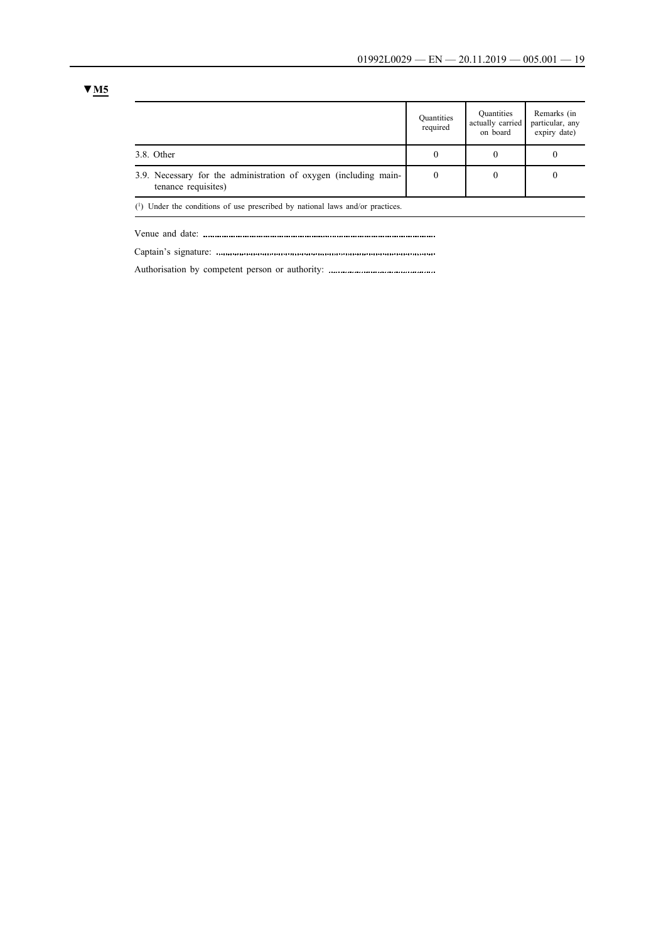|                                                                                         | Quantities<br>required | Quantities<br>actually carried<br>on board | Remarks (in<br>particular, any<br>expiry date) |
|-----------------------------------------------------------------------------------------|------------------------|--------------------------------------------|------------------------------------------------|
| 3.8. Other                                                                              | 0                      |                                            |                                                |
| 3.9. Necessary for the administration of oxygen (including main-<br>tenance requisites) | 0                      | 0                                          | 0                                              |
| $(1)$ Under the conditions of use prescribed by national laws and/or prestiges          |                        |                                            |                                                |

(1) Under the conditions of use prescribed by national laws and/or practices.

Venue and date:

Captain's signature:

Authorisation by competent person or authority: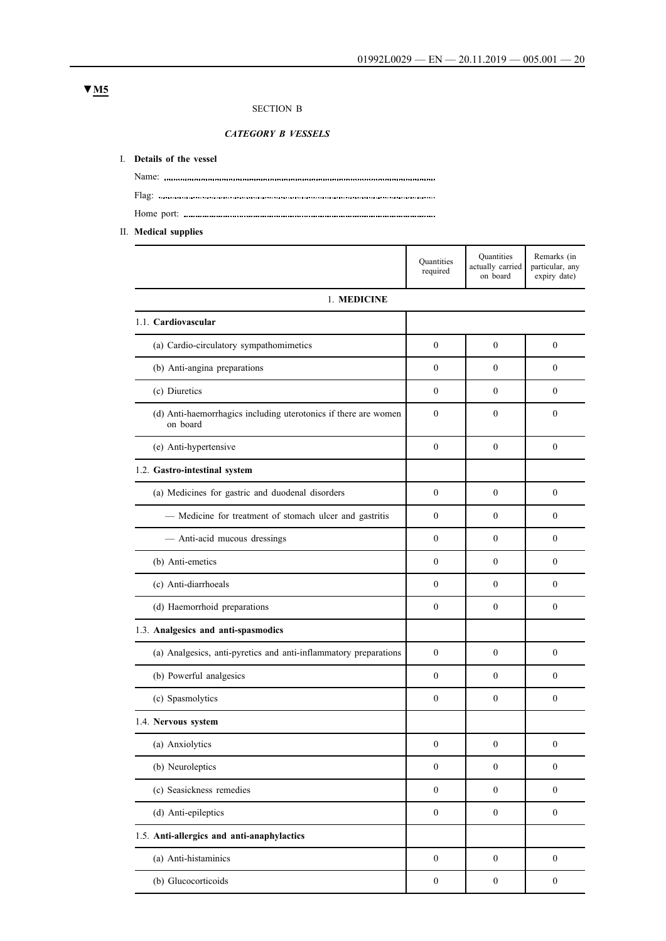# SECTION B

*CATEGORY B VESSELS*

#### I. **Details of the vessel**

Name: Flag: Home port:

II. **Medical supplies**

|                                                                             | Quantities<br>required | Quantities<br>actually carried<br>on board | Remarks (in<br>particular, any<br>expiry date) |
|-----------------------------------------------------------------------------|------------------------|--------------------------------------------|------------------------------------------------|
| 1. MEDICINE                                                                 |                        |                                            |                                                |
| 1.1. Cardiovascular                                                         |                        |                                            |                                                |
| (a) Cardio-circulatory sympathomimetics                                     | $\Omega$               | $\theta$                                   | $\mathbf{0}$                                   |
| (b) Anti-angina preparations                                                | $\mathbf{0}$           | $\theta$                                   | $\mathbf{0}$                                   |
| (c) Diuretics                                                               | $\Omega$               | $\theta$                                   | $\theta$                                       |
| (d) Anti-haemorrhagics including uterotonics if there are women<br>on board | $\theta$               | $\theta$                                   | $\theta$                                       |
| (e) Anti-hypertensive                                                       | $\theta$               | $\theta$                                   | $\theta$                                       |
| 1.2. Gastro-intestinal system                                               |                        |                                            |                                                |
| (a) Medicines for gastric and duodenal disorders                            | $\mathbf{0}$           | $\theta$                                   | $\mathbf{0}$                                   |
| - Medicine for treatment of stomach ulcer and gastritis                     | $\Omega$               | $\theta$                                   | $\theta$                                       |
| - Anti-acid mucous dressings                                                | $\mathbf{0}$           | $\theta$                                   | $\mathbf{0}$                                   |
| (b) Anti-emetics                                                            | $\Omega$               | $\theta$                                   | $\theta$                                       |
| (c) Anti-diarrhoeals                                                        | $\mathbf{0}$           | $\theta$                                   | $\theta$                                       |
| (d) Haemorrhoid preparations                                                | $\mathbf{0}$           | $\theta$                                   | $\mathbf{0}$                                   |
| 1.3. Analgesics and anti-spasmodics                                         |                        |                                            |                                                |
| (a) Analgesics, anti-pyretics and anti-inflammatory preparations            | $\mathbf{0}$           | $\theta$                                   | $\mathbf{0}$                                   |
| (b) Powerful analgesics                                                     | $\Omega$               | $\theta$                                   | $\theta$                                       |
| (c) Spasmolytics                                                            | $\Omega$               | $\theta$                                   | $\theta$                                       |
| 1.4. Nervous system                                                         |                        |                                            |                                                |
| (a) Anxiolytics                                                             | $\theta$               | $\mathbf{0}$                               | $\boldsymbol{0}$                               |
| (b) Neuroleptics                                                            | $\mathbf{0}$           | $\mathbf{0}$                               | $\mathbf{0}$                                   |
| (c) Seasickness remedies                                                    | $\boldsymbol{0}$       | $\boldsymbol{0}$                           | $\boldsymbol{0}$                               |
| (d) Anti-epileptics                                                         | $\mathbf{0}$           | $\boldsymbol{0}$                           | $\boldsymbol{0}$                               |
| 1.5. Anti-allergics and anti-anaphylactics                                  |                        |                                            |                                                |
| (a) Anti-histaminics                                                        | $\boldsymbol{0}$       | $\boldsymbol{0}$                           | $\boldsymbol{0}$                               |
| (b) Glucocorticoids                                                         | $\boldsymbol{0}$       | $\boldsymbol{0}$                           | $\boldsymbol{0}$                               |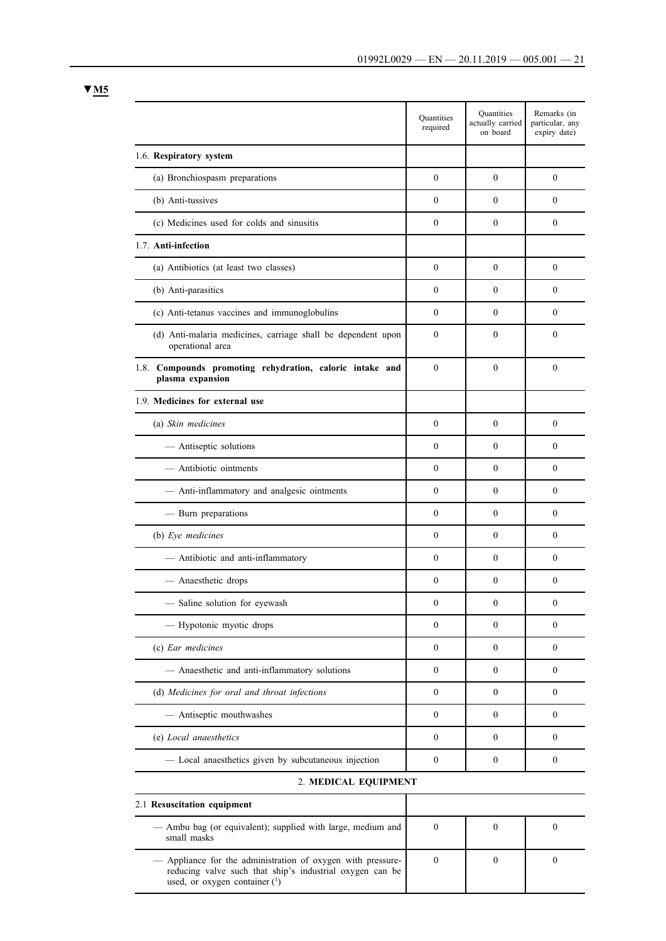|                                                                                  | <b>Quantities</b><br>required | Quantities<br>actually carried<br>on board | Remarks (in<br>particular, any<br>expiry date) |
|----------------------------------------------------------------------------------|-------------------------------|--------------------------------------------|------------------------------------------------|
| 1.6. Respiratory system                                                          |                               |                                            |                                                |
| (a) Bronchiospasm preparations                                                   | $\overline{0}$                | $\boldsymbol{0}$                           | $\theta$                                       |
| (b) Anti-tussives                                                                | $\overline{0}$                | $\theta$                                   | $\theta$                                       |
| (c) Medicines used for colds and sinusitis                                       | $\overline{0}$                | $\mathbf{0}$                               | $\boldsymbol{0}$                               |
| 1.7. Anti-infection                                                              |                               |                                            |                                                |
| (a) Antibiotics (at least two classes)                                           | $\overline{0}$                | $\mathbf{0}$                               | $\mathbf{0}$                                   |
| (b) Anti-parasitics                                                              | $\overline{0}$                | $\boldsymbol{0}$                           | $\theta$                                       |
| (c) Anti-tetanus vaccines and immunoglobulins                                    | $\overline{0}$                | $\theta$                                   | $\theta$                                       |
| (d) Anti-malaria medicines, carriage shall be dependent upon<br>operational area | $\overline{0}$                | $\theta$                                   | $\theta$                                       |
| 1.8. Compounds promoting rehydration, caloric intake and<br>plasma expansion     | $\overline{0}$                | $\theta$                                   | $\theta$                                       |
| 1.9. Medicines for external use                                                  |                               |                                            |                                                |
| (a) Skin medicines                                                               | $\overline{0}$                | $\theta$                                   | $\boldsymbol{0}$                               |
| - Antiseptic solutions                                                           | $\overline{0}$                | $\mathbf{0}$                               | $\theta$                                       |
| - Antibiotic ointments                                                           | $\overline{0}$                | $\theta$                                   | $\theta$                                       |
| - Anti-inflammatory and analgesic ointments                                      | $\theta$                      | $\theta$                                   | $\theta$                                       |
| - Burn preparations                                                              | $\overline{0}$                | $\boldsymbol{0}$                           | $\theta$                                       |
| (b) Eye medicines                                                                | $\overline{0}$                | $\boldsymbol{0}$                           | $\theta$                                       |
| - Antibiotic and anti-inflammatory                                               | $\overline{0}$                | $\boldsymbol{0}$                           | $\theta$                                       |
| - Anaesthetic drops                                                              | $\overline{0}$                | $\boldsymbol{0}$                           | $\boldsymbol{0}$                               |
| Saline solution for eyewash                                                      | $\boldsymbol{0}$              | $\boldsymbol{0}$                           | $\boldsymbol{0}$                               |
| - Hypotonic myotic drops                                                         | 0                             | 0                                          | $\mathbf{0}$                                   |
| (c) Ear medicines                                                                | $\boldsymbol{0}$              | 0                                          | $\mathbf{0}$                                   |
| - Anaesthetic and anti-inflammatory solutions                                    | $\boldsymbol{0}$              | $\mathbf{0}$                               | $\boldsymbol{0}$                               |
| (d) Medicines for oral and throat infections                                     | $\overline{0}$                | 0                                          | $\boldsymbol{0}$                               |
| - Antiseptic mouthwashes                                                         | $\boldsymbol{0}$              | $\mathbf{0}$                               | $\mathbf{0}$                                   |
| (e) Local anaesthetics                                                           | $\boldsymbol{0}$              | $\mathbf{0}$                               | $\boldsymbol{0}$                               |
| - Local anaesthetics given by subcutaneous injection                             | $\overline{0}$                | 0                                          | $\boldsymbol{0}$                               |
| 2. MEDICAL EQUIPMENT                                                             |                               |                                            |                                                |
| 2.1 Resuscitation equipment                                                      |                               |                                            |                                                |

| — Ambu bag (or equivalent); supplied with large, medium and<br>small masks                                                                                 |  |  |
|------------------------------------------------------------------------------------------------------------------------------------------------------------|--|--|
| - Appliance for the administration of oxygen with pressure-<br>reducing valve such that ship's industrial oxygen can be<br>used, or oxygen container $(1)$ |  |  |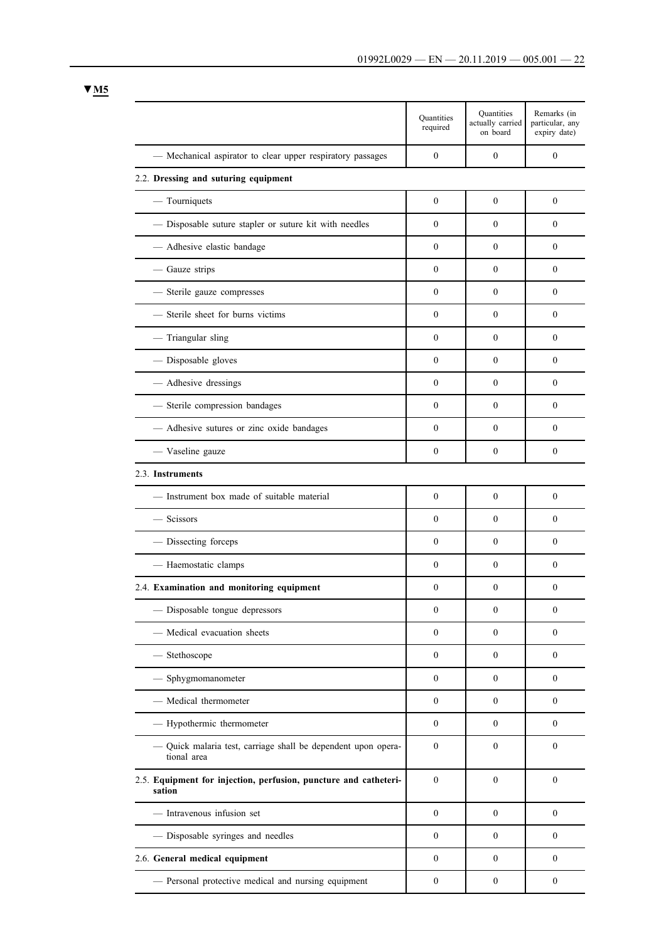|                                                                            | Quantities<br>required | Quantities<br>actually carried<br>on board | Remarks (in<br>particular, any<br>expiry date) |
|----------------------------------------------------------------------------|------------------------|--------------------------------------------|------------------------------------------------|
| - Mechanical aspirator to clear upper respiratory passages                 | $\mathbf{0}$           | $\mathbf{0}$                               | $\mathbf{0}$                                   |
| 2.2. Dressing and suturing equipment                                       |                        |                                            |                                                |
| $-$ Tourniquets                                                            | $\boldsymbol{0}$       | $\mathbf{0}$                               | $\mathbf{0}$                                   |
| - Disposable suture stapler or suture kit with needles                     | $\theta$               | $\theta$                                   | $\theta$                                       |
| - Adhesive elastic bandage                                                 | $\theta$               | $\mathbf{0}$                               | $\mathbf{0}$                                   |
| - Gauze strips                                                             | $\theta$               | $\theta$                                   | $\theta$                                       |
| - Sterile gauze compresses                                                 | $\theta$               | $\boldsymbol{0}$                           | $\mathbf{0}$                                   |
| - Sterile sheet for burns victims                                          | $\mathbf{0}$           | $\theta$                                   | $\mathbf{0}$                                   |
| - Triangular sling                                                         | $\theta$               | $\theta$                                   | $\theta$                                       |
| - Disposable gloves                                                        | $\theta$               | $\mathbf{0}$                               | $\mathbf{0}$                                   |
| - Adhesive dressings                                                       | $\theta$               | $\theta$                                   | $\theta$                                       |
| - Sterile compression bandages                                             | $\theta$               | $\boldsymbol{0}$                           | $\mathbf{0}$                                   |
| - Adhesive sutures or zinc oxide bandages                                  | $\theta$               | $\theta$                                   | $\theta$                                       |
| - Vaseline gauze                                                           | $\theta$               | $\mathbf{0}$                               | $\mathbf{0}$                                   |
| 2.3. Instruments                                                           |                        |                                            |                                                |
| — Instrument box made of suitable material                                 | $\theta$               | $\mathbf{0}$                               | $\mathbf{0}$                                   |
| - Scissors                                                                 | $\theta$               | $\boldsymbol{0}$                           | $\theta$                                       |
| - Dissecting forceps                                                       | $\theta$               | $\theta$                                   | $\mathbf{0}$                                   |
| - Haemostatic clamps                                                       | $\theta$               | $\theta$                                   | $\theta$                                       |
| 2.4. Examination and monitoring equipment                                  | $\boldsymbol{0}$       | $\theta$                                   | $\theta$                                       |
| - Disposable tongue depressors                                             | $\boldsymbol{0}$       | $\boldsymbol{0}$                           | $\boldsymbol{0}$                               |
| - Medical evacuation sheets                                                | $\boldsymbol{0}$       | $\boldsymbol{0}$                           | $\mathbf{0}$                                   |
| - Stethoscope                                                              | $\boldsymbol{0}$       | $\boldsymbol{0}$                           | $\mathbf{0}$                                   |
| - Sphygmomanometer                                                         | $\theta$               | $\mathbf{0}$                               | $\mathbf{0}$                                   |
| - Medical thermometer                                                      | $\boldsymbol{0}$       | $\mathbf{0}$                               | $\mathbf{0}$                                   |
| - Hypothermic thermometer                                                  | $\boldsymbol{0}$       | $\mathbf{0}$                               | $\mathbf{0}$                                   |
| Quick malaria test, carriage shall be dependent upon opera-<br>tional area | $\theta$               | $\mathbf{0}$                               | $\mathbf{0}$                                   |
| 2.5. Equipment for injection, perfusion, puncture and catheteri-<br>sation | $\boldsymbol{0}$       | $\theta$                                   | $\mathbf{0}$                                   |
| - Intravenous infusion set                                                 | $\boldsymbol{0}$       | $\mathbf{0}$                               | $\mathbf{0}$                                   |
| - Disposable syringes and needles                                          | $\boldsymbol{0}$       | $\boldsymbol{0}$                           | $\boldsymbol{0}$                               |
| 2.6. General medical equipment                                             | $\boldsymbol{0}$       | $\boldsymbol{0}$                           | $\boldsymbol{0}$                               |
| - Personal protective medical and nursing equipment                        | $\boldsymbol{0}$       | $\boldsymbol{0}$                           | $\boldsymbol{0}$                               |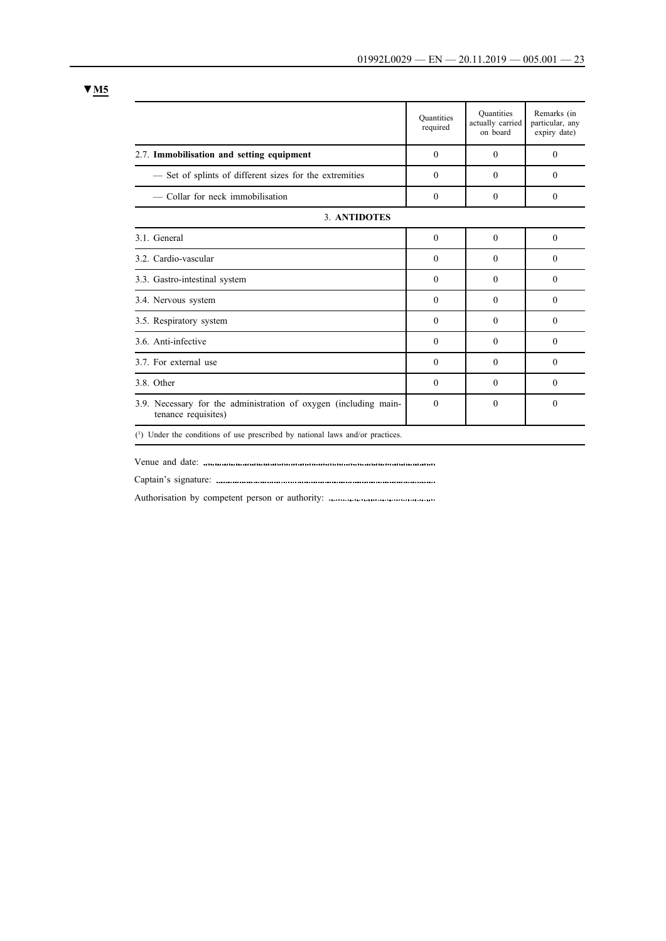|                                                                                         | <b>Quantities</b><br>required | Quantities<br>actually carried<br>on board | Remarks (in<br>particular, any<br>expiry date) |
|-----------------------------------------------------------------------------------------|-------------------------------|--------------------------------------------|------------------------------------------------|
| 2.7. Immobilisation and setting equipment                                               | $\Omega$                      | $\Omega$                                   | $\Omega$                                       |
| - Set of splints of different sizes for the extremities                                 | $\theta$                      | $\theta$                                   | $\theta$                                       |
| - Collar for neck immobilisation                                                        | $\theta$                      | $\theta$                                   | $\theta$                                       |
| 3. ANTIDOTES                                                                            |                               |                                            |                                                |
| 3.1. General                                                                            | $\theta$                      | $\theta$                                   | $\theta$                                       |
| 3.2. Cardio-vascular                                                                    | $\Omega$                      | $\Omega$                                   | $\Omega$                                       |
| 3.3. Gastro-intestinal system                                                           | $\mathbf{0}$                  | $\theta$                                   | $\theta$                                       |
| 3.4. Nervous system                                                                     | $\theta$                      | $\Omega$                                   | $\Omega$                                       |
| 3.5. Respiratory system                                                                 | $\Omega$                      | $\Omega$                                   | $\Omega$                                       |
| 3.6. Anti-infective                                                                     | $\theta$                      | $\Omega$                                   | $\Omega$                                       |
| 3.7. For external use                                                                   | $\theta$                      | $\theta$                                   | $\theta$                                       |
| 3.8. Other                                                                              | $\theta$                      | $\theta$                                   | $\theta$                                       |
| 3.9. Necessary for the administration of oxygen (including main-<br>tenance requisites) | $\Omega$                      | $\theta$                                   | $\theta$                                       |
| $(1)$ Under the conditions of use prescribed by national laws and/or practices.         |                               |                                            |                                                |

Venue and date:

Captain's signature:

Authorisation by competent person or authority: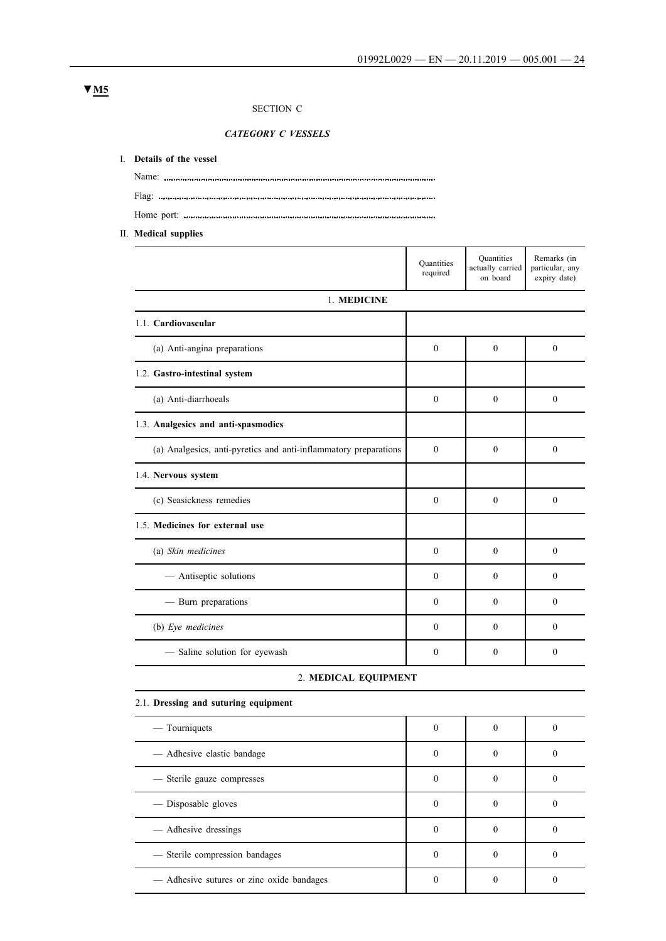# SECTION C

*CATEGORY C VESSELS*

#### I. **Details of the vessel**

Name: Flag: Home port:

II. **Medical supplies**

|                                                                  | <b>Quantities</b><br>required | <b>Quantities</b><br>actually carried<br>on board | Remarks (in<br>particular, any<br>expiry date) |
|------------------------------------------------------------------|-------------------------------|---------------------------------------------------|------------------------------------------------|
| 1. MEDICINE                                                      |                               |                                                   |                                                |
| 1.1. Cardiovascular                                              |                               |                                                   |                                                |
| (a) Anti-angina preparations                                     | $\theta$                      | $\theta$                                          | $\theta$                                       |
| 1.2. Gastro-intestinal system                                    |                               |                                                   |                                                |
| (a) Anti-diarrhoeals                                             | $\theta$                      | $\Omega$                                          | $\Omega$                                       |
| 1.3. Analgesics and anti-spasmodics                              |                               |                                                   |                                                |
| (a) Analgesics, anti-pyretics and anti-inflammatory preparations | $\theta$                      | $\theta$                                          | $\theta$                                       |
| 1.4. Nervous system                                              |                               |                                                   |                                                |
| (c) Seasickness remedies                                         | $\theta$                      | $\theta$                                          | $\theta$                                       |
| 1.5. Medicines for external use                                  |                               |                                                   |                                                |
| (a) Skin medicines                                               | $\Omega$                      | $\theta$                                          | $\theta$                                       |
| - Antiseptic solutions                                           | $\theta$                      | $\theta$                                          | $\theta$                                       |
| - Burn preparations                                              | $\Omega$                      | $\theta$                                          | $\theta$                                       |
| (b) Eye medicines                                                | $\theta$                      | $\theta$                                          | $\theta$                                       |
| - Saline solution for eyewash                                    | $\mathbf{0}$                  | $\mathbf{0}$                                      | $\mathbf{0}$                                   |

#### 2. **MEDICAL EQUIPMENT**

2.1. **Dressing and suturing equipment**

| — Tourniquets                             | $\Omega$ | $\Omega$ |  |
|-------------------------------------------|----------|----------|--|
| — Adhesive elastic bandage                | $\Omega$ |          |  |
| — Sterile gauze compresses                | $\Omega$ |          |  |
| — Disposable gloves                       |          |          |  |
| — Adhesive dressings                      |          |          |  |
| - Sterile compression bandages            |          |          |  |
| — Adhesive sutures or zinc oxide bandages |          |          |  |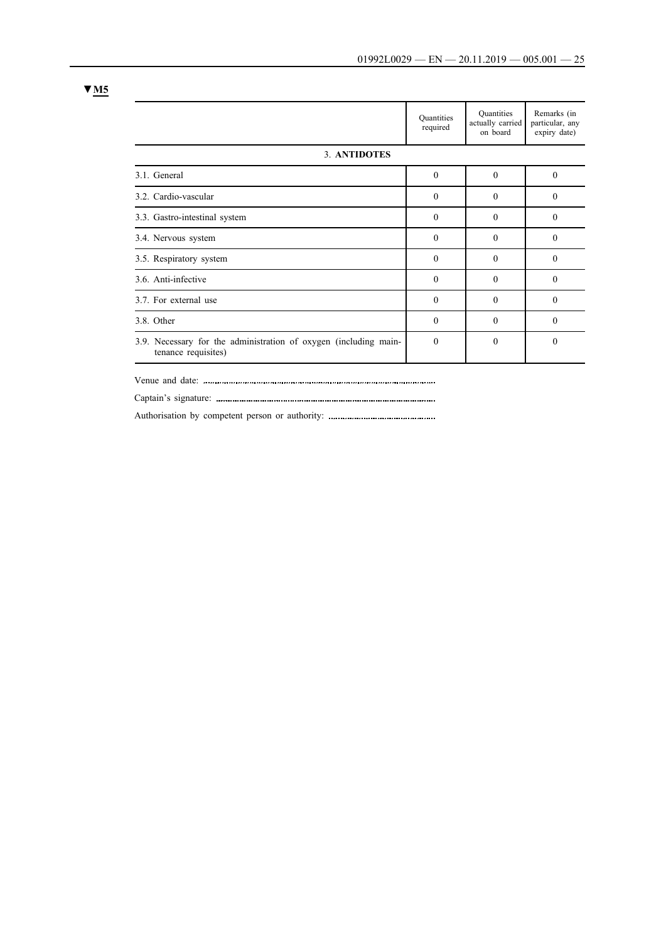|                                                                                         | <b>Quantities</b><br>required | Quantities<br>actually carried<br>on board | Remarks (in<br>particular, any<br>expiry date) |
|-----------------------------------------------------------------------------------------|-------------------------------|--------------------------------------------|------------------------------------------------|
| 3. ANTIDOTES                                                                            |                               |                                            |                                                |
| 3.1. General                                                                            | $\mathbf{0}$                  | $\theta$                                   | $\theta$                                       |
| 3.2. Cardio-vascular                                                                    | $\theta$                      | $\Omega$                                   | $\Omega$                                       |
| 3.3. Gastro-intestinal system                                                           | $\theta$                      | $\Omega$                                   | $\Omega$                                       |
| 3.4. Nervous system                                                                     | $\theta$                      | $\Omega$                                   | $\Omega$                                       |
| 3.5. Respiratory system                                                                 | $\theta$                      | $\Omega$                                   | $\Omega$                                       |
| 3.6. Anti-infective                                                                     | $\theta$                      | $\Omega$                                   | $\Omega$                                       |
| 3.7. For external use                                                                   | $\theta$                      | $\Omega$                                   | $\Omega$                                       |
| 3.8. Other                                                                              | $\Omega$                      | $\Omega$                                   | $\Omega$                                       |
| 3.9. Necessary for the administration of oxygen (including main-<br>tenance requisites) | $\theta$                      | $\Omega$                                   | $\Omega$                                       |

Venue and date:

Captain's signature:

Authorisation by competent person or authority: